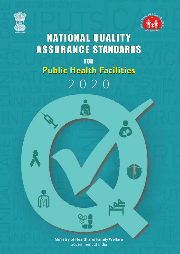



# **NATIONAL QUALITY ASSURANCE STANDARDS FOR Public Health Facilities** 2020

 $\overline{\epsilon}$ 

**Ministry of Health and Family Welfare Government of India**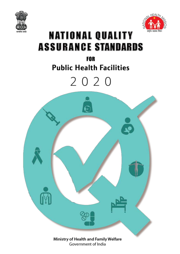



## **NATIONAL QUALITY ASSURANCE STANDARDS**

### **FOR Public Health Facilities**

# 2020

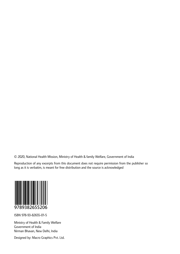© 2020, National Health Mission, Ministry of Health & family Welfare, Government of India

Reproduction of any excerpts from this document does not require permission from the publisher so long as it is verbatim, is meant for free distribution and the source is acknowledged



ISBN 978-93-82655-01-5

Ministry of Health & Family Welfare Government of India Nirman Bhavan, New Delhi, India

Designed by: Macro Graphics Pvt. Ltd.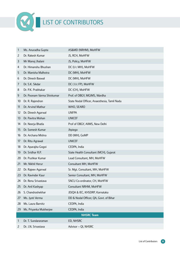

| 1              | Ms. Anuradha Gupta         | AS&MD (NRHM), MoHFW                          |
|----------------|----------------------------|----------------------------------------------|
| $\overline{c}$ | Dr. Rakesh Kumar           | JS, RCH, MoHFW                               |
| 3              | Mr Manoj Jhalani           | JS, Policy, MoHFW                            |
| 4              | Dr. Himanshu Bhushan       | DC (I/c MH), MoHFW                           |
| 5              | Dr. Manisha Malhotra       | DC (MH), MoHFW                               |
| 6              | Dr. Dinesh Baswal          | DC (MH), MoHFW                               |
| $\overline{7}$ | Dr. S.K. Sikdar            | DC (I/c FP), MoHFW                           |
| 8              | Dr. P.K. Prabhakar         | DC (CH), MoHFW                               |
| 9              | Dr. Poonam Varma Shivkumar | Prof. of OBGY, MGIMS, Wardha                 |
| 10             | Dr. R. Rajendran           | State Nodal Officer, Anaesthesia, Tamil Nadu |
| 11             | Dr. Arvind Mathur          | WHO, SEARO                                   |
| 12             | Dr. Dinesh Agarwal         | <b>UNFPA</b>                                 |
| 13             | Dr. Pavitra Mohan          | <b>UNICEF</b>                                |
| 14             | Dr. Neerja Bhatla          | Prof of OBGY, AllMS, New Delhi               |
| 15             | Dr. Somesh Kumar           | Jhpiego                                      |
| 16             | Dr. Archana Mishra         | DD (MH), GoMP                                |
| 17             | Dr. Ritu Agrawal           | <b>UNICEF</b>                                |
| 18             | Dr. Aparajita Gogoi        | CEDPA, India                                 |
| 19             | Dr. Sridhar R.P.           | State Health Consultant (MCH), Gujarat       |
| 20             | Dr. Pushkar Kumar          | Lead Consultant, MH, MoHFW                   |
| 21             | Mr. Nikhil Herur           | Consultant MH, MoHFW                         |
| 22             | Dr. Rajeev Agarwal         | Sr. Mgt. Consultant, MH, MoHFW               |
| 23             | Dr. Ravinder Kaur          | Senior Consultant, MH, MoHFW                 |
| 24             | Dr. Renu Srivastava        | SNCU Co-ordinator, CH, MoHFW                 |
| 25             | Dr. Anil Kashyap           | Consultant NRHM, MoHFW                       |
| 26             | S. Chandrashekhar          | JD(QA & IEC, KHSDRP, Karnataka               |
| 27             | Ms. Jyoti Verma            | DD & Nodal Officer, QA, Govt. of Bihar       |
| 28             | Ms. Laura Barnitz          | CEDPA, India                                 |
| 29             | Ms. Priyanka Mukherjee     | CEDPA, India                                 |
|                |                            | <b>NHSRC Team</b>                            |
| 1              | Dr. T. Sundararaman        | ED, NHSRC                                    |
| 2              | Dr. J.N. Srivastava        | Advisor - QI, NHSRC                          |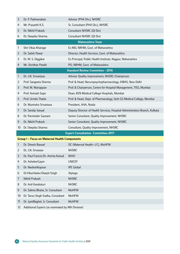| 3              | Dr. P. Padmanaban                                  | Advisor (PHA Div.), NHSRC                                                   |
|----------------|----------------------------------------------------|-----------------------------------------------------------------------------|
| 4              | Mr. Prasanth K.S.                                  | Sr. Consultant (PHA Div.), NHSRC                                            |
| 5              | Dr. Nikhil Prakash                                 | Consultant NHSRC (QI Div)                                                   |
| 6              | Dr. Deepika Sharma                                 | Consultant NHSRC (QI Div)                                                   |
|                |                                                    | <b>Maharashtra Team</b>                                                     |
| 1              | Shri Vikas Kharage                                 | Ex MD, NRHM, Govt. of Maharashtra                                           |
| $\overline{c}$ | Dr. Satish Pawar                                   | Director, Health Services, Govt. of Maharashtra                             |
| 3              | Dr. M. S. Diggikar                                 | Ex Principal, Public Health Institute, Nagpur, Maharashtra                  |
| 4              | Mr. Shridhar Pandit                                | PO, NRHM, Govt. of Maharashtra                                              |
|                |                                                    | <b>Standard Review Committee - 2016</b>                                     |
| 1              | Dr. J.N. Srivastava                                | Advisor Quality Improvement, NHSRC-Chairperson                              |
| $\overline{c}$ | Prof. Sangeeta Sharma                              | Prof. & Head, Neruropsychopharmacology, IHBAS, New Delhi                    |
| 3              | Prof. M. Mariappan                                 | Prof. & Chairperson, Centre for Hospital Management, TISS, Mumbai           |
| 4              | Prof. Avinash Supe                                 | Dean, KEN Medical College Hospitals, Mumbai                                 |
| 5              | Prof. Urmila Thatte                                | Prof. & Head, Dept. of Pharmacology, Seth GS Medical College, Mumbai        |
| 6              | Dr. Munindra Srivastava                            | President, AHA, Noida                                                       |
| 7              | Dr. Sandip Sanyal                                  | Deputy Director of Health Services, Hospital Administration Branch, Kolkata |
| 8              | Dr. Parminder Gautam                               | Senior Consultant, Quality Improvement, NHSRC                               |
| 9              | Dr. Nikhil Prakash                                 | Senior Consultant, Quality Improvement, NHSRC                               |
| 10             | Dr. Deepika Sharma                                 | Consultant, Quality Improvement, NHSRC                                      |
|                |                                                    | <b>Expert Consultation Committee-2017</b>                                   |
|                | <b>Group I-Focus on Maternal Health Components</b> |                                                                             |
| 1              | Dr. Dinesh Baswal                                  | DC (Maternal Health- I/C), MoHFW                                            |
| 2              | Dr. J.N. Srivastav                                 | <b>NHSRC</b>                                                                |
| 3              | Dr. Paul Francis/Dr. Amrita Kansal                 | <b>WHO</b>                                                                  |
| 4              | Dr. AsheberGaym                                    | <b>UNICEF</b>                                                               |
| 5              | Dr. NeeleshKapoor                                  | <b>IPE Global</b>                                                           |
| 6              | Dr. Vikas Yadav/Deepti Singh                       | Jhpiego                                                                     |
| 7              | Nikhil Prakash                                     | <b>NHSRC</b>                                                                |
| 8              | Dr. Anil Kandukuri                                 | <b>NHSRC</b>                                                                |
| 9              | Dr. Salima Bhatia, Sr. Consultant                  | <b>MoHFW</b>                                                                |
| 10             | Dr. Tarun Singh Sodha, Consultant                  | <b>MoHFW</b>                                                                |
| 11             | Dr. JyotiBaghel, Jr. Consultant                    | <b>MoHFW</b>                                                                |
| 12             | Additional Experts (as nominated by MH Division)   |                                                                             |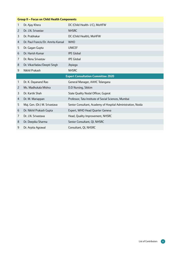|                | <b>Group II - Focus on Child Health Components</b> |                                                              |  |
|----------------|----------------------------------------------------|--------------------------------------------------------------|--|
| 1              | Dr. Ajay Khera                                     | DC (Child Health- I/C), MoHFW                                |  |
| $\overline{2}$ | Dr. J.N. Srivastav                                 | <b>NHSRC</b>                                                 |  |
| 3              | Dr. Prabhakar                                      | DC (Child Health), MoHFW                                     |  |
| 4              | Dr. Paul Francis/Dr. Amrita Kansal                 | <b>WHO</b>                                                   |  |
| 5              | Dr. Gagan Gupta                                    | <b>UNICEF</b>                                                |  |
| 6              | Dr. Harish Kumar                                   | <b>IPE Global</b>                                            |  |
| 7              | Dr. Renu Srivastav                                 | <b>IPE Global</b>                                            |  |
| 8              | Dr. VikasYadav/Deepti Singh                        | Jhpiego                                                      |  |
| 9              | Nikhil Prakash                                     | <b>NHSRC</b>                                                 |  |
|                |                                                    | <b>Expert Consultation Committee 2020</b>                    |  |
|                |                                                    |                                                              |  |
| 1              | Dr. K. Dayanand Rao                                | General Manager, AAHC Telangana                              |  |
| $\overline{c}$ | Ms. Madhukala Mishra                               | D.D Nursing, Sikkim                                          |  |
| 3              | Dr. Kartik Shah                                    | State Quality Nodal Officer, Gujarat                         |  |
| 4              | Dr. M. Mariappan                                   | Professor, Tata Institute of Social Sciences, Mumbai         |  |
| 5              | Maj. Gen. (Dr.) M. Srivastava                      | Senior Consultant, Academy of Hospital Administration, Noida |  |
| 6              | Dr. Nikhil Prakash Gupta                           | Expert, WHO Head Quarter Geneva                              |  |
| 7              | Dr. J.N. Srivastava                                | Head, Quality Improvement, NHSRC                             |  |
| 8              | Dr. Deepika Sharma                                 | Senior Consultant, QI, NHSRC                                 |  |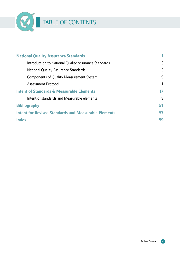

| <b>National Quality Assurance Standards</b>                 |    |
|-------------------------------------------------------------|----|
| Introduction to National Quality Assurance Standards        | 3  |
| <b>National Quality Assurance Standards</b>                 | 5  |
| <b>Components of Quality Measurement System</b>             | 9  |
| <b>Assessment Protocol</b>                                  | 11 |
| <b>Intent of Standards &amp; Measurable Elements</b>        | 17 |
| Intent of standards and Measurable elements                 | 19 |
| <b>Bibliography</b>                                         | 51 |
| <b>Intent for Revised Standards and Measurable Elements</b> | 57 |
| <b>Index</b>                                                | 59 |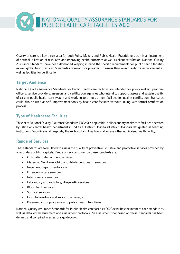

Quality of care is a key thrust area for both Policy Makers and Public Health Practitioners as it is an instrument of optimal utilization of resources and improving health outcomes as well as client satisfaction. National Quality Assurance Standards have been developed keeping in mind the specific requirements for public health facilities as well global best practices. Standards are meant for providers to assess their own quality for improvement as well as facilities for certification.

#### **Target Audience**

National Quality Assurance Standards for Public Health care facilities are intended for policy makers, program officers, service providers, assessors and certification agencies who intend to support, assess and sustain quality of care in public health care system and working to bring up their facilities for quality certification. Standards could also be used as self- improvement tools by health care facilities without linking with formal certification process.

#### **Type of Healthcare Facilities**

Thisset of National Quality Assurance Standards(NQAS) is applicable in allsecondary healthcare facilities operated by state or central health department in India i.e. District Hospitals/District Hospitals designated as teaching institutions, Sub-divisional hospitals, Thaluk hospitals, Area hospital, or any other equivalent health facility.

#### **Range of Services**

These standards are formulated to assess the quality of preventive , curative and promotive services provided by a secondary public hospitals. Range of services cover by these standards are:

- Out-patient department services
- Maternal, Newborn, Child and Adolescent health services
- In-patient departmental care
- Emergency care services
- Intensive care services
- Laboratory and radiology diagnostic services
- Blood bank services
- Surgical services
- Hospital auxiliary and support services, etc.
- Disease control programs and public health functions

National Quality Assurance Standards for Public Health care facilities 2020describes the intent of each standard as well as detailed measurement and assessment protocols. An assessment tool based on these standards has been defined and compiled in assessor's guidebook.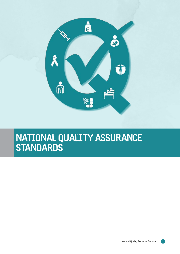

## National Quality Assurance Standards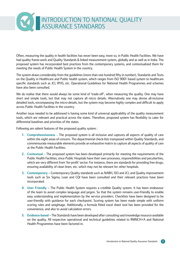## Introduction to National Quality ASSURANCE ST.

Often, measuring the quality in health facilities has never been easy, more so, in Public Health Facilities. We have had quality frame-work and Quality Standards & linked measurement system, globally and as well as in India. The proposed system has incorporated best practices from the contemporary systems, and contextualized them for meeting the needs of Public Health System in the country.

The system draws considerably from the guidelines (more than one hundred fifty in number), Standards and Texts on the Quality in Healthcare and Public health system, which ranges from ISO 9001 based system to healthcare specific standards such as JCI, IPHS, etc. Operational Guidelines for National Health Programmes and schemes have also been consulted.

We do realise that there would always be some kind of 'trade-off', when measuring the quality. One may have short and simple tools, but that may not capture all micro details. Alternatively one may devise all-inclusive detailed tools, encompassing the micro-details, but the system may become highly complex and difficult to apply across Public Health Facilities in the country.

Another issue needed to be addressed is having some kind of universal applicability of the quality measurement tools, which are relevant and practical across the states. Therefore, proposed system has flexibility to cater for differential baselines and priorities of the states.

Following are salient features of the proposed quality system :

- **1. Comprehensiveness**  The proposed system is all inclusive and captures all aspects of quality of care within the eight areas of concern. The departmental check-lists transposed within Quality Standards, and commensurate measurable elements provide an exhaustive matrix to capture all aspects of quality of care at the Public Health Facilities.
- **2. Contextual**  The proposed system has been developed primarily for meeting the requirements of the Public Health Facilities; since Public Hospitals have their own processes, responsibilities and peculiarities, which are very different from 'for-profit' sector. For instance, there are standards for providing free drugs, ensuring availability of clean linen, etc. which may not be relevant for other hospitals.
- **3. Contemporary** Contemporary Quality standards such as NABH, ISO and JCI, and Quality improvement tools such as Six Sigma, Lean and CQI have been consulted and their relevant practices have been incorporated.
- **4. User Friendly –** The Public Health System requires a credible Quality system. It has been endeavour of the team to avoid complex language and jargon. So that the system remains user-friendly to enable easy understanding and implementation by the service providers. Checklists have been designed to be user-friendly with guidance for each checkpoint. Scoring system has been made simple with uniform scoring rules and weightage. Additionally, a formula fitted excel sheet tool has been provided for the convenience, and also to avoid calculation errors.
- **5. Evidence based –** The Standards have been developed after consulting vast knowledge resource available on the quality. All respective operational and technical guidelines related to RMNCH+A and National Health Programmes have been factored in.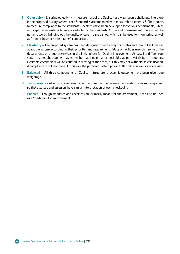- **6. Objectivity –** Ensuring objectivity in measurement of the Quality has always been a challenge. Therefore in the proposed quality system, each Standard is accompanied with measurable elements & Checkpoints to measure compliance to the standards. Checklists have been developed for various departments, which also captures inter-departmental variability for the standards. At the end of assessment, there would be numeric scores, bringing out the quality of care in a snap-shot, which can be used for monitoring, as well as for inter-hospital/ inter-state(s) comparison.
- **7. Flexibility –** The proposed system has been designed in such a way that states and Health Facilities can adapt the system according to their priorities and requirements. State or facilities may pick some of the departments or group of services in the initial phase for Quality improvement. As baseline differs from state to state, checkpoints may either be made essential or desirable, as per availability of resources. Desirable checkpoints will be counted in arriving at the score, but this may not withhold its certification, if compliance is still not there. In this way the proposed system provides flexibility, as well as 'road-map'.
- **8. Balanced** All three components of Quality Structure, process & outcome, have been given due weightage.
- **9. Transparency –** All efforts have been made to ensure that the measurement system remains transparent, so that assessee and assessors have similar interpretation of each checkpoint.
- **10. Enabler** Though standards and checklists are primarily meant for the assessment, it can also be used as a 'road-map' for improvement.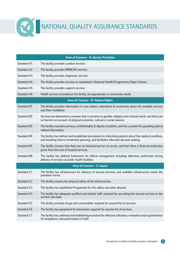

# **NATIONAL QUALITY ASSURANCE STANDARDS**

|                         | <b>Area of Concern - A: Service Provision</b>                                                                                                                                                  |
|-------------------------|------------------------------------------------------------------------------------------------------------------------------------------------------------------------------------------------|
| <b>Standard A1</b>      | The facility provides curative services                                                                                                                                                        |
| Standard A2             | The facility provides RMNCHA services                                                                                                                                                          |
| Standard A3             | The facility provides diagnostic services                                                                                                                                                      |
| <b>Standard A4</b>      | The facility provides services as mandated in National Health Programmes/State Scheme.                                                                                                         |
| Standard A5             | The facility provides support services                                                                                                                                                         |
| Standard A6             | Health services provided at the facility are appropriate to community needs.                                                                                                                   |
|                         | Area of Concern - B: Patient Rights                                                                                                                                                            |
| <b>Standard B1</b>      | The facility provides information to care seekers, attendants & community about the available services<br>and their modalities.                                                                |
| Standard B2             | Services are delivered in a manner that is sensitive to gender, religious and cultural needs, and there are<br>no barriers on account of physical economic, cultural or social reasons.        |
| Standard B3             | The facility maintains privacy, confidentiality & dignity of patient, and has a system for guarding patient<br>related information.                                                            |
| Standard B4             | The facility has defined and established procedures for informing patients about the medical condition,<br>and involving them in treatment planning, and facilitates informed decision making. |
| <b>Standard B5</b>      | The facility ensures that there are no financial barriers to access, and that there is financial protection<br>given from the cost of hospital services.                                       |
| Standard B6             | The facility has defined framework for ethical management including dilemmas confronted during<br>delivery of services at public health facilities.                                            |
|                         | <b>Area of Concern - C: Inputs</b>                                                                                                                                                             |
| Standard C1             | The facility has infrastructure for delivery of assured services, and available infrastructure meets the<br>prevalent norms.                                                                   |
| Standard C <sub>2</sub> | The facility ensures the physical safety of the infrastructure.                                                                                                                                |
| Standard C3             | The facility has established Programme for fire safety and other disaster.                                                                                                                     |
| Standard C4             | The facility has adequate qualified and trained staff, required for providing the assured services to the<br>current case load.                                                                |
| Standard C5             | The facility provides drugs and consumables required for assured list of services.                                                                                                             |
| Standard C6             | The facility has equipment & instruments required for assured list of services.                                                                                                                |
| Standard C7             | The facility has a defined and established procedure for effective utilization, evaluation and augmentation<br>of competence and performance of staff                                          |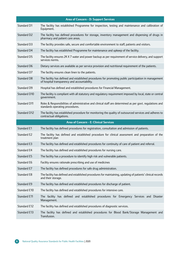|                     | <b>Area of Concern - D: Support Services</b>                                                                                                         |
|---------------------|------------------------------------------------------------------------------------------------------------------------------------------------------|
| Standard D1         | The facility has established Programme for inspection, testing and maintenance and calibration of<br>Equipment.                                      |
| Standard D2         | The facility has defined procedures for storage, inventory management and dispensing of drugs in<br>pharmacy and patient care areas.                 |
| Standard D3         | The facility provides safe, secure and comfortable environment to staff, patients and visitors.                                                      |
| Standard D4         | The facility has established Programme for maintenance and upkeep of the facility.                                                                   |
| Standard D5         | The facility ensures 24 X 7 water and power backup as per requirement of service delivery, and support<br>services norms.                            |
| Standard D6         | Dietary services are available as per service provision and nutritional requirement of the patients.                                                 |
| Standard D7         | The facility ensures clean linen to the patients.                                                                                                    |
| Standard D8         | The facility has defined and established procedures for promoting public participation in management<br>of hospital transparency and accountability. |
| Standard D9         | Hospital has defined and established procedures for Financial Management.                                                                            |
| Standard D10        | The facility is compliant with all statutory and regulatory requirement imposed by local, state or central<br>government.                            |
| <b>Standard D11</b> | Roles & Responsibilities of administrative and clinical staff are determined as per govt. regulations and<br>standards operating procedures.         |
| Standard D12        | The facility has established procedure for monitoring the quality of outsourced services and adheres to<br>contractual obligations.                  |
|                     | <b>Area of Concern - E: Clinical Services</b>                                                                                                        |
|                     |                                                                                                                                                      |
| Standard E1         | The facility has defined procedures for registration, consultation and admission of patients.                                                        |
| Standard E2         | The facility has defined and established procedure for clinical assessment and preparation of the<br>treatment plan                                  |
| Standard E3         | The facility has defined and established procedures for continuity of care of patient and referral.                                                  |
| Standard E4         | The facility has defined and established procedures for nursing care.                                                                                |
| Standard E5         | The facility has a procedure to identify high risk and vulnerable patients.                                                                          |
| Standard E6         | Facility ensures rationale prescribing and use of medicines                                                                                          |
| Standard E7         | The facility has defined procedures for safe drug administration.                                                                                    |
| Standard E8         | The facility has defined and established procedures for maintaining, updating of patients' clinical records<br>and their storage.                    |
| Standard E9         | The facility has defined and established procedures for discharge of patient.                                                                        |
| Standard E10        | The facility has defined and established procedures for intensive care.                                                                              |
| Standard E11        | The facility has defined and established procedures for Emergency Services and Disaster<br>Management.                                               |
| Standard E12        | The facility has defined and established procedures of diagnostic services.                                                                          |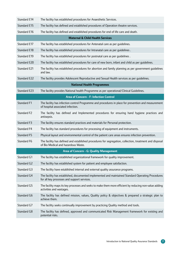| Standard E14       | The facility has established procedures for Anaesthetic Services.                                                                                |
|--------------------|--------------------------------------------------------------------------------------------------------------------------------------------------|
| Standard E15       | The facility has defined and established procedures of Operation theatre services.                                                               |
| Standard E16       | The facility has defined and established procedures for end of life care and death.                                                              |
|                    | <b>Maternal &amp; Child Health Services</b>                                                                                                      |
| Standard E17       | The facility has established procedures for Antenatal care as per guidelines.                                                                    |
| Standard E18       | The facility has established procedures for Intranatal care as per guidelines.                                                                   |
| Standard E19       | The facility has established procedures for postnatal care as per guidelines.                                                                    |
| Standard E20       | The facility has established procedures for care of new born, infant and child as per guidelines.                                                |
| Standard E21       | The facility has established procedures for abortion and family planning as per government guidelines<br>and law.                                |
| Standard E22       | The facility provides Adolescent Reproductive and Sexual Health services as per guidelines.                                                      |
|                    | <b>National Health Programmes</b>                                                                                                                |
| Standard E23       | The facility provides National health Programme as per operational/Clinical Guidelines.                                                          |
|                    | <b>Area of Concern - F: Infection Control</b>                                                                                                    |
| Standard F1        | The facility has infection control Programme and procedures in place for prevention and measurement<br>of hospital associated infection.         |
| Standard F2        | The facility has defined and Implemented procedures for ensuring hand hygiene practices and<br>antisepsis.                                       |
| Standard F3        | The facility ensures standard practices and materials for Personal protection.                                                                   |
| Standard F4        | The facility has standard procedures for processing of equipment and instruments.                                                                |
| <b>Standard F5</b> | Physical layout and environmental control of the patient care areas ensures infection prevention.                                                |
| Standard F6        | The facility has defined and established procedures for segregation, collection, treatment and disposal<br>of Bio Medical and hazardous Waste.   |
|                    | Area of Concern - G: Quality Management                                                                                                          |
| Standard G1        | The facility has established organizational framework for quality improvement.                                                                   |
| Standard G2        | The facility has established system for patient and employee satisfaction.                                                                       |
| Standard G3        | The facility have established internal and external quality assurance programs.                                                                  |
| Standard G4        | The facility has established, documented implemented and maintained Standard Operating Procedures<br>for all key processes and support services. |
| Standard G5        | The facility maps its key processes and seeks to make them more efficient by reducing non-value adding<br>activities and wastages.               |
| Standard G6        | The facility has defined mission, values, Quality policy & objectives & prepared a strategic plan to<br>achieve them.                            |
| Standard G7        | The facility seeks continually improvement by practicing Quality method and tools.                                                               |
| Standard G8        | The facility has defined, approved and communicated Risk Management framework for existing and<br>potential risks.                               |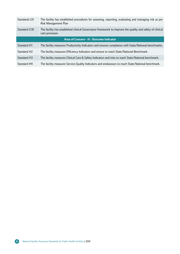| Standards G9                            | The facility has established procedures for assessing, reporting, evaluating and managing risk as per<br>Risk Management Plan |  |
|-----------------------------------------|-------------------------------------------------------------------------------------------------------------------------------|--|
| Standard G10                            | The facility has established clinical Governance framework to improve the quality and safety of clinical<br>care processes    |  |
| Area of Concern - H : Outcome Indicator |                                                                                                                               |  |
| <b>Standard H1</b>                      | The facility measures Productivity Indicators and ensures compliance with State/National benchmarks.                          |  |
| Standard H <sub>2</sub>                 | The facility measures Efficiency Indicators and ensure to reach State/National Benchmark.                                     |  |
| Standard H3                             | The facility measures Clinical Care & Safety Indicators and tries to reach State/National benchmark.                          |  |
| Standard H4                             | The facility measures Service Quality Indicators and endeavours to reach State/National benchmark.                            |  |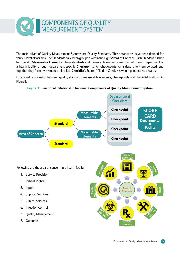

The main pillars of Quality Measurement Systems are Quality Standards. These standards have been defined for variouslevel of facilities. The Standards have been groupedwithin the eight**Areas of Concern**. Each Standard further has specific **Measurable Elements**. These standards and measurable elements are checked in each department of a health facility through department specific **Checkpoints**. All Checkpoints for a department are collated, and together they form assessment tool called '**Checklist**'. Scored/ filled-in Checklists would generate scorecards.

Functional relationship between quality standards, measurable elements, check-points and check-list is shown in Figure1.



#### **Figure 1: Functional Relationship between Components of Quality Measurement System**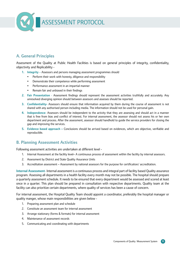

#### **A. General Principles**

Assessment of the Quality at Public Health Facilities is based on general principles of integrity, confidentiality, objectivity and Replicability -

- **1. Integrity** Assessors and persons managing assessment programmes should
	- Perform their work with honesty, diligence and responsibility
	- Demonstrate their competence while performing assessment
	- Performance assessment in an impartial manner
	- Remain fair and unbiased in their findings
- **2. Fair Presentation** Assessment findings should represent the assessment activities truthfully and accurately. Any unresolved diverging opinion should between assessors and assesses should be reported.
- **3. Confidentiality-** Assessors should ensure that information acquired by them during the course of assessment is not shared with any authorised person including media. The information should not be used for personal gain.
- **4. Independence-** Assessors should be independent to the activity that they are assessing and should act in a manner that is free from bias and conflict of interest. For internal assessment, the assessor should not assess his or her own department and process. After the assessment, assessor should handhold to guide the service providers for closing the gap and improving the services.
- **5. Evidence based approach –** Conclusions should be arrived based on evidences, which are objective, verifiable and reproducible.

#### **B. Planning Assessment Activities**

Following assessment activities are undertaken at different level -

- 1. Internal Assessment at the facility level– A continuous process of assessment within the facility by internal assessors.
- 2. Assessment by District and State Quality Assurance Units
- 3. Accreditation assessment Assessment by national assessors for the purpose for certification/ accreditation.

**Internal Assessment**- Internal assessment is a continuous process and integral part of facility based Quality assurance program. Assessing all departments in a health facility every month may not be possible. The hospital should prepare a quarterly assessment schedule. It needs to be ensured that every department would be assessed and scored at least once in a quarter. This plan should be prepared in consultation with respective departments. Quality team at the facility can also prioritize certain departments, where quality of services has been a cause of concern.

For internal assessment, the Hospital Quality Team should appoint a coordinator, preferably the hospital manager or quality manger, whose main responsibilities are given below -

- 1. Preparing assessment plan and schedule
- 2. Constitute an assessment team for internal assessment
- 3. Arrange stationary (forms & formats) for internal assessment
- 4. Maintenance of assessment records
- 5. Communicating and coordinating with departments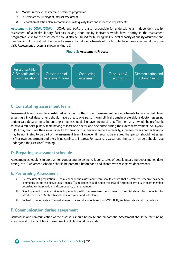- 6. Monitor & review the internal assessment programme
- 7. Disseminate the findings of internal assessment
- 8. Preparation of action plan in coordination with quality team and respective departments.

**Assessment by DQAU/SQAU** – DQAU and SQAU are also responsible for undertaking an independent quality assessment of a health facility. Facilities having poor quality indicators would have priority in the assessment programme. Visit for the assessment should also be utilised for building facility level capacity of quality assurance and handholding. Efforts should be made to ensure that all departments of the hospital have been assessed during one visit. Assessment process is shown in Figure 2.



#### **C. Constituting assessment team**

Assessment team should be constituted according to the scope of assessment i.e. departments to be assessed. Team assessing clinical department should have at least one person form clinical domain preferably a doctor, assessing patient care departments. Indoor departments should also have one nursing staff in the team. It would be preferable to have a multidisciplinary team having at least one doctor and one nurse during the external assessment. As DQAU/ SQAU may not have their own capacity for arranging all team members internally, a person form another hospital may be nominated to be part of the assessment team. However, it needs to be ensured that person should not assess his/her own department and there is no conflict of interest. For external assessment, the team members should have undergone the assessors' training.

#### **D. Preparing assessment schedule**

Assessment schedule is micro-plan for conducting assessment. It constitutes of details regarding departments, date, timing, etc. Assessment schedule should be prepared beforehand and shared with respective departments.

#### **E. Performing Assessment –**

- i. Pre-assessment preparation Team leader of the assessment team should ensure that assessment schedule has been communicated to respective departments. Team leader should assign the area of responsibility to each team member, according to the schedule and competency of the members.
- ii. Opening meeting A short opening meeting with the assessee's department or hospital should be conducted for introduction, aims & objective of the assessment and role clarity.
- iii. Reviewing documents The available records and documents such as SOPs, BHT, Registers, etc should be reviewed.

#### **F. Communication during assessment**

Behaviours and communication of the assessors should be polite and empathetic. Assessment should be fact finding exercise and not a fault finding exercise. Conflicts should be avoided.

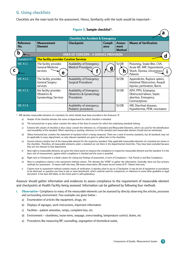#### **G. Using checklists**

Checklists are the main tools for the assessment. Hence, familiarity with the tools would be important -

| <b>Checklist for Accident &amp; Emergency</b> |                                                                      |                                                                     |                 |                                  |                                                                                                    |
|-----------------------------------------------|----------------------------------------------------------------------|---------------------------------------------------------------------|-----------------|----------------------------------|----------------------------------------------------------------------------------------------------|
| <b>Reference</b><br>No.                       | <b>Measurement</b><br><b>Element</b>                                 | <b>Checkpoint</b>                                                   | Compli-<br>ance | Assess-<br>ment<br><b>Method</b> | <b>Means of Verification</b>                                                                       |
| b                                             |                                                                      | <b>AREA OF CONCERN - A SERVICE PROVISION</b>                        |                 |                                  |                                                                                                    |
| <b>Standard A1</b>                            | <b>The facility provides Curative Services</b>                       |                                                                     |                 |                                  |                                                                                                    |
| <b>ME A1.1.</b>                               | The facility provides<br><b>General Medicine</b><br>services<br>е    | Availability of Emergency<br>Medical Procedures,                    |                 | SI/OB                            | Poisoning, Snake Bite, CVA,<br>Acute MI, ARF, Hypovolumic<br>Shock, Dysnea, Unconsious<br>Patients |
| ME A1.2.                                      | The facility provides<br><b>General Surgery</b><br>services          | Availability of Emergency<br><b>Surgical Procedures</b>             |                 | SI/OB                            | Appendicitis, Rupture spleen,<br>Intestinal Obstruction, Assault<br>Injuries, perforation, Burns   |
| <b>ME A1.3.</b>                               | the facility provides<br>Obstetrics &<br><b>Gynaecology Services</b> | Availability of Emergency<br>Obstertics & Gynaecology<br>Procedures |                 | SI/OB                            | APH, PPH, Eclampsia,<br>Obstructed labour, Septic<br>abortion, Emergency<br>Contraceptives         |
| <b>ME A1.4.</b>                               |                                                                      | Availability of emergency<br>Pediatric procedures                   |                 | SI/OB                            | ARI, Diarrheal diseases,<br>Hypothermia, PEM, reucitation                                          |

#### **Figure 3: Sample checklist\*.**

\* - ME denotes measurable elements of a standard, for which details have been provided in the Annexure 'A'.

- a) Header of the checklist denotes the name of department for which checklist is intended.
- b) The horizontal bar in grey colour contains the name of the Area of concern for which the underlying standards belong.
- c) Extreme left column of checklist in blue colour contain the reference no. of Standard and Measurable Elements, which can used for the identification and traceability of the standard. When reporting or quoting, reference no of the standard and measurable element should also be mentioned.
- d) Yellow horizontal bar contains the statement of standard which is being measured. There are a total of seventy standards, but all standards may not be applicable to every department, so only relevant standards are given in yellow bars in the checklists.
- e) Second column contains text of the measurable element for the respective standard. Only applicable measurable elements of a standard are shown in the checklists. Therefore, all measurable elements under a standard are not there in the departmental check-lists. They have been excluded because they are not relevant to that department.
- f) Next right to measurable elements are given the check points to measure the compliance to respective measurable element and the standard. It is the basic unit of measurement, against which compliance is checked and the score is awarded.
- g) Right next to Checkpoint is a blank column for noting the findings of assessment, in term of Compliance Full, Partial or and Non Compliance.
- h) Next to compliance column is the assessment method column. This denotes the 'HOW' to gather the information. Generally, there are four primary methods for assessment - SI means staff interview, OB means observation, RR means record review & PI - Patient Interview.
- i) Column next to assessment method contains means of verification. It denotes what to see at a Checkpoint. It may be list of equipment or procedures to be observed, or question you have to ask or some benchmark, which could be used for comparison, or reference to some other guideline or legal document. It has been left blank, as the check point is self-explanatory.

Assessor should gather information and evidences to assess compliance to the requirement of measurable element and checkpoints at Health Facility being assessed. Information can be gathered by following four methods

- **i. Observation–** Compliance to many of the measurable elements can be assessed by directly observing the articles, processes and surrounding environment. Few examples are given below
	- a) Enumeration of articles like equipment, drugs, etc
	- b) Displays of signages, work instructions, important information
	- c) Facilities patient amenities, ramps, complaint-box, etc.
	- d) Environment cleanliness, loose-wires, seepage, overcrowding, temperature control, drains, etc
	- e) Procedures like measuring BP, counselling, segregation of biomedical waste,

**a**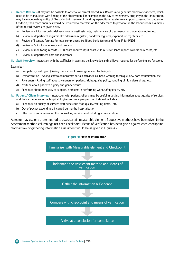- **ii. Record Review –** It may not be possible to observe all clinical procedures. Records also generate objective evidences, which need to be triangulated with finding of the observation. For example on the day of assessment, drug tray in the labour room may have adequate quantity of Oxytocin, but if review of the drug expenditure register reveals poor consumption pattern of Oxytocin, then more enquiries would be required to ascertain on the adherence to protocols in the labour room. Examples of the record review are given below
	- a) Review of clinical records delivery note, anaesthesia note, maintenance of treatment chart, operation notes, etc.
	- b) Review of department registers like admission registers, handover registers, expenditure registers, etc.
	- c) Review of licenses, formats for legal compliances like Blood bank license and Form 'F' for PNDT
	- d) Review of SOPs for adequacy and process
	- e) Review of monitoring records TPR chart, Input/output chart, culture surveillance report, calibration records, etc
	- f) Review of department data and indicators

**iii. Staff interview** –Interaction with the staff helps in assessing the knowledge and skill level, required for performing job functions.

#### Examples -

- a) Competency testing Quizzing the staff on knowledge related to their job
- b) Demonstration Asking staff to demonstrate certain activities like hand-washing technique, new born resuscitation, etc.
- c) Awareness Asking staff about awareness off patients' right, quality policy, handling of high alerts drugs, etc.
- d) Attitude about patient's dignity and gender issues.
- e) Feedback about adequacy of supplies, problems in performing work, safety issues, etc.
- **iv. Patient / Client Interview** Interaction with patients/clients may be useful in getting information about quality of services and their experience in the hospital. It gives us users' perspective. It should include
	- a) Feedback on quality of services staff behaviour, food quality, waiting times, etc.
	- b) Out of pocket expenditure incurred during the hospitalisation
	- c) Effective of communication like counselling services and self drug administration

Assessor may use one these method to asses certain measurable element. Suggestive methods have been given in the Assessment method column against each checkpoint Means of verification has been given against each checkpoint. Normal flow of gathering information assessment would be as given in Figure 4 -

#### **Figure 4: Flow of Information**

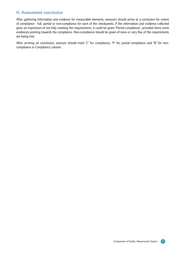#### **H. Assessment conclusion**

After gathering information and evidence for measurable elements, assessors should arrive at a conclusion for extent of compliance - full, partial or non-compliance for each of the checkpoints. If the information and evidence collected gives an impression of not fully meeting the requirements, it could be given 'Partial compliance', provided there some evidences pointing towards the complaince. Non-compliance should be given of none or very few of the requirements are being met.

After arriving on conclusion, assessor should mark 'C' for compliance, 'P' for partial compliance and 'N' for noncompliance in Compliance column.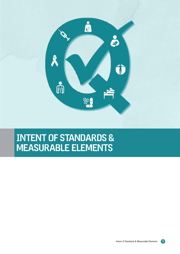

## Intent of Standards & Measurable Elements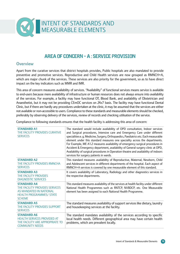

#### Area of Concern - A : Service Provision

#### **Overview**

Apart from the curative services that district hospitals provides, Public hospitals are also mandated to provide preventive and promotive services. Reproductive and Child Health services are now grouped as RMNCH+A, which are major chunk of the services. These services are also priority for the government, so as to have direct impact on the key indicators such as MMR and IMR.

This area of concern measures availability of services. "Availability" of functional services means service is available to end-users because mere availability of infrastructure or human resources does not always ensure into availability of the services. For example, a facility may have functional OT, Blood Bank, and availability of Obstetrician and Anaesthetist, but it may not be providing CEmOC services on 24x7 basis. The facility may have functional Dental Clinic, but if there are hardly any procedures undertaken at the clinic, it may be assumed that the services are either not available or non-accessible to users. Compliance to these standards and measurable elements should be checked, preferably by observing delivery of the services, review of records and checking utilisation of the service.

Compliance to following standards ensures that the health facility is addressing this area of concern:

| <b>STANDARD A1</b><br>THE FACILITY PROVIDES CURATIVE<br><b>SERVICES</b>                                                             | The standard would include availability of OPD consultation, Indoor services<br>and Surgical procedures, Intensive care and Emergency Care under different<br>specialities e.g. Medicine, Surgery, Orthopaedics, Paediatrics etc. Each measurable<br>element under this standard measures one speciality across the departments.<br>For Example, ME A1.2 measures availability of emergency surgical procedures in<br>Accident & Emergency department, availability of General surgery clinic at OPD,<br>Availability of surgical procedures in Operation theatre and availability of indoors<br>services for surgery patients in wards. |
|-------------------------------------------------------------------------------------------------------------------------------------|------------------------------------------------------------------------------------------------------------------------------------------------------------------------------------------------------------------------------------------------------------------------------------------------------------------------------------------------------------------------------------------------------------------------------------------------------------------------------------------------------------------------------------------------------------------------------------------------------------------------------------------|
| <b>STANDARD A2</b><br>THE FACILITY PROVIDES RMNCHA<br><b>SERVICES</b>                                                               | This standard measures availability of Reproductive, Maternal, Newborn, Child<br>and Adolescent services in different departments of the hospital. Each aspect of<br>RMNCH+A services is covered by one measurable element of this standard.                                                                                                                                                                                                                                                                                                                                                                                             |
| <b>STANDARD A3</b><br>THE FACILITY PROVIDES<br><b>DIAGNOSTIC SERVICES</b>                                                           | It covers availability of Laboratory, Radiology and other diagnostics services in<br>the respective departments.                                                                                                                                                                                                                                                                                                                                                                                                                                                                                                                         |
| <b>STANDARD A4</b><br>THE FACILITY PROVIDES SERVICES<br>AS MANDATED IN NATIONAL<br><b>HEALTH PROGRAMMES/ STATE</b><br><b>SCHEME</b> | This standard measures availability of the services at health facility under different<br>National Health Programmes such as RNTCP, NVBDCP, etc. One Measurable<br>element has been assigned to each National Health Programme.                                                                                                                                                                                                                                                                                                                                                                                                          |
| <b>STANDARD A5</b><br>THE FACILITY PROVIDES SUPPORT<br><b>SERVICES</b>                                                              | The standard measures availability of support services like dietary, laundry<br>and housekeeping services at the facility.                                                                                                                                                                                                                                                                                                                                                                                                                                                                                                               |
| <b>STANDARD A6</b><br><b>HEALTH SERVICES PROVIDED AT</b><br>THE FACILITY ARE APPROPRIATE TO<br><b>COMMUNITY NEEDS</b>               | The standard mandates availability of the services according to specific<br>local health needs. Different geographical area may have certain health<br>problems, which are prevalent locally.                                                                                                                                                                                                                                                                                                                                                                                                                                            |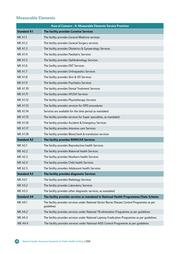#### **Measurable Elements**

| Area of Concern - A: Measurable Elements Service Provision |                                                                                                           |  |  |
|------------------------------------------------------------|-----------------------------------------------------------------------------------------------------------|--|--|
| <b>Standard A1</b>                                         | The facility provides Curative Services                                                                   |  |  |
| <b>ME A1.1</b>                                             | The facility provides General Medicine services                                                           |  |  |
| <b>ME A1.2</b>                                             | The facility provides General Surgery services                                                            |  |  |
| <b>ME A1.3</b>                                             | The facility provides Obstetrics & Gynaecology Services                                                   |  |  |
| <b>ME A1.4</b>                                             | The facility provides Paediatric Services                                                                 |  |  |
| <b>ME A1.5</b>                                             | The facility provides Ophthalmology Services                                                              |  |  |
| <b>ME A1.6</b>                                             | The facility provides ENT Services                                                                        |  |  |
| <b>ME A1.7</b>                                             | The facility provides Orthopaedics Services                                                               |  |  |
| <b>ME A1.8</b>                                             | The facility provides Skin & VD Services                                                                  |  |  |
| <b>ME A1.9</b>                                             | The facility provides Psychiatry Services                                                                 |  |  |
| <b>ME A1.10</b>                                            | The facility provides Dental Treatment Services                                                           |  |  |
| <b>ME A1.11</b>                                            | The facility provides AYUSH Services                                                                      |  |  |
| <b>ME A1.12</b>                                            | The facility provides Physiotherapy Services                                                              |  |  |
| <b>ME A1.13</b>                                            | The facility provides services for OPD procedures                                                         |  |  |
| <b>ME A1.14</b>                                            | Services are available for the time period as mandated                                                    |  |  |
| <b>ME A1.15</b>                                            | The facility provides services for Super specialties, as mandated                                         |  |  |
| ME A1.16                                                   | The facility provides Accident & Emergency Services                                                       |  |  |
| <b>ME A1.17</b>                                            | The facility provides Intensive care Services                                                             |  |  |
| <b>ME A1.18</b>                                            | The facility provides Blood bank & transfusion services                                                   |  |  |
| <b>Standard A2</b>                                         | The facility provides RMNCHA Services                                                                     |  |  |
| <b>ME A2.1</b>                                             | The facility provides Reproductive health Services                                                        |  |  |
| <b>ME A2.2</b>                                             | The facility provides Maternal health Services                                                            |  |  |
| <b>ME A2.3</b>                                             | The facility provides Newborn health Services                                                             |  |  |
| <b>ME A2.4</b>                                             | The facility provides Child health Services                                                               |  |  |
| <b>ME A2.5</b>                                             | The facility provides Adolescent health Services                                                          |  |  |
| <b>Standard A3</b>                                         | The facility provides diagnostic Services                                                                 |  |  |
| <b>ME A3.1</b>                                             | The facility provides Radiology Services                                                                  |  |  |
| <b>ME A3.2</b>                                             | The facility provides Laboratory Services                                                                 |  |  |
| <b>ME A3.3</b>                                             | The facility provides other diagnostic services, as mandated                                              |  |  |
| <b>Standard A4</b>                                         | The facility provides services as mandated in National Health Programmes/State Scheme                     |  |  |
| <b>ME A4.1</b>                                             | The facility provides services under National Vector Borne Disease Control Programme as per<br>guidelines |  |  |
| <b>ME A4.2</b>                                             | The facility provides services under National TB elimination Programme as per guidelines                  |  |  |
| <b>ME A4.3</b>                                             | The facility provides services under National Leprosy Eradication Programme as per guidelines             |  |  |
| <b>ME A4.4</b>                                             | The facility provides services under National AIDS Control Programme as per guidelines                    |  |  |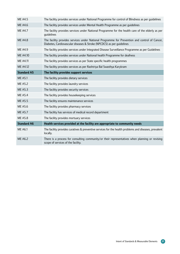| <b>ME A4.5</b>     | The facility provides services under National Programme for control of Blindness as per guidelines                                                                     |
|--------------------|------------------------------------------------------------------------------------------------------------------------------------------------------------------------|
| <b>ME A4.6</b>     | The facility provides services under Mental Health Programme as per guidelines                                                                                         |
| <b>ME A4.7</b>     | The facility provides services under National Programme for the health care of the elderly as per<br>quidelines                                                        |
| <b>ME A4.8</b>     | The facility provides services under National Programme for Prevention and control of Cancer,<br>Diabetes, Cardiovascular diseases & Stroke (NPCDCS) as per quidelines |
| <b>ME A4.9</b>     | The facility provides services under Integrated Disease Surveillance Programme as per Guidelines                                                                       |
| ME A4.10           | The facility provides services under National health Programme for deafness                                                                                            |
| ME A4.11           | The facility provides services as per State specific health programmes                                                                                                 |
| <b>ME A4.12</b>    | The facility provides services as per Rashtriya Bal Swasthya Karykram                                                                                                  |
| <b>Standard A5</b> | The facility provides support services                                                                                                                                 |
| <b>ME A5.1</b>     | The facility provides dietary services                                                                                                                                 |
| <b>ME A5.2</b>     | The facility provides laundry services                                                                                                                                 |
| <b>ME A5.3</b>     | The facility provides security services                                                                                                                                |
| <b>ME A5.4</b>     | The facility provides housekeeping services                                                                                                                            |
| <b>ME A5.5</b>     | The facility ensures maintenance services                                                                                                                              |
| <b>ME A5.6</b>     | The facility provides pharmacy services                                                                                                                                |
| <b>ME A5.7</b>     | The facility has services of medical record department                                                                                                                 |
| <b>ME A5.8</b>     | The facility provides mortuary services                                                                                                                                |
| <b>Standard A6</b> | Health services provided at the facility are appropriate to community needs                                                                                            |
| <b>ME A6.1</b>     | The facility provides curatives & preventive services for the health problems and diseases, prevalent<br>locally.                                                      |
| <b>ME A6.2</b>     | There is a process for consulting community/or their representatives when planning or revising<br>scope of services of the facility.                                   |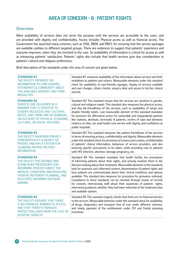#### Area of Concern - B : Patient Rights

#### **Overview**

Mere availability of services does not serve the purpose until the services are accessible to the users, and are provided with dignity and confidentiality. Access includes Physical access as well as financial access. The Government has launched many schemes, such as JSSK, RBSK and RBSY, for ensuring that the service packages are available cashless to different targeted groups. There are evidences to suggest that patients' experience and outcome improves, when they are involved in the care. So availability of information is critical for access as well as enhancing patients' satisfaction. Patients' rights also include that health services give due consideration to patients' cultural and religious preferences.

Brief description of the standards under this area of concern are given below:

| <b>STANDARD B1</b><br>THE FACILITY PROVIDES THE<br><b>INFORMATION TO CARE SEEKERS,</b><br><b>ATTENDANTS &amp; COMMUNITY ABOUT</b><br>THE AVAILABLE SERVICES AND THEIR<br><b>MODALITIES</b>                                                                     | Standard B1 measures availability of the information about services and their<br>modalities to patients and visitors. Measurable elements under this standard<br>check for availability of user-friendly signages, display of services available<br>and user charges, citizen charter, enquiry desk and access to his/her clinical<br>records.                                                                                                                                                                                                                                                                                                                                                                                                       |
|----------------------------------------------------------------------------------------------------------------------------------------------------------------------------------------------------------------------------------------------------------------|------------------------------------------------------------------------------------------------------------------------------------------------------------------------------------------------------------------------------------------------------------------------------------------------------------------------------------------------------------------------------------------------------------------------------------------------------------------------------------------------------------------------------------------------------------------------------------------------------------------------------------------------------------------------------------------------------------------------------------------------------|
| <b>STANDARD B2</b><br>SERVICES ARE DELIVERED IN A<br><b>MANNER THAT IS SENSITIVE TO</b><br><b>GENDER, RELIGIOUS AND CULTURAL</b><br>NEEDS, AND THERE ARE NO BARRIERS<br>ON ACCOUNT OF PHYSICAL ECONOMIC,<br><b>CULTURAL OR SOCIAL REASONS.</b>                 | Standard B2 This standard ensure that the services are sensitive to gender,<br>cultural and religious needs. This standard also measures the physical access,<br>and disa ble-friendliness of the services, such as availability of ramps and<br>disable friendly toilets. Last measurable element of this standard mandates<br>for provision for affirmative action for vulnerable and marginalized patients<br>like orphans, destitute, terminally ill patients, victims of rape and domestic<br>violence so they can avail health care service with dignity and confidence at<br>public hospitals.                                                                                                                                                |
| <b>STANDARD B3</b><br>THE FACILITY MAINTAINS PRIVACY,<br><b>CONFIDENTIALITY &amp; DIGNITY OF</b><br>PATIENT, AND HAS A SYSTEM FOR<br><b>GUARDING PATIENT RELATED</b><br><b>INFORMATION</b>                                                                     | Standard B3 This standard measures the patient friendliness of the services<br>in terms of ensuring privacy, confidentiality and dignity. Measurable elements<br>under this standard check for provisions of screens and curtains, confidentiality<br>of patients' clinical information, behaviour of service providers, and also<br>ensuring specific precautions to be taken, while providing care to patients<br>with HIV infection, abortion, teenage pregnancy, etc.                                                                                                                                                                                                                                                                            |
| <b>STANDARD B4</b><br>THE FACILITY HAS DEFINED AND<br><b>ESTABLISHED PROCEDURES FOR</b><br><b>INFORMING PATIENTS ABOUT THE</b><br>MEDICAL CONDITION, AND INVOLVING<br>THEM IN TREATMENT PLANNING, AND<br><b>FACILITATES INFORMED DECISION</b><br><b>MAKING</b> | Standard B4 This standard mandates that health facility has procedures<br>of informing patients about their rights, and actively involves them in the<br>decision-making about their treatment. Measurable elements in this standards<br>look for practices such informed consent, dissemination of patient rights and<br>how patients are communicated about their clinical conditions and options<br>available. This standard also measures for procedure for grievance redressal.<br>Compliance to these standards can be checked through review of records<br>for consent, interviewing staff about their awareness of patients' rights,<br>interviewing patients whether they had been informed of the treatment plan<br>and available options. |
| <b>STANDARD B5</b><br>THE FACILITY ENSURES THAT THERE<br>IS NO FINANCIAL BARRIER TO ACCESS,<br>AND THAT THERE IS FINANCIAL<br>PROTECTION GIVEN FROM THE COST OF<br><b>HOSPITAL SERVICES</b>                                                                    | Standard B5 This standard majorly checks that there are no financial barriers<br>to the services. Measurable elements under this standard check for availability<br>of drugs, diagnostics and transport free of cost under different schemes,<br>and timely payment of the entitlements under JSY and Family planning<br>incentives.                                                                                                                                                                                                                                                                                                                                                                                                                 |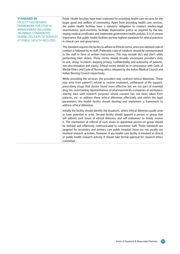#### **Standard B6**

Facility has defined framework for ethical management including dilemmas confronted during delivery of services at public health facilities

Public Health faculties have been instituted for providing health care services for the larger good and welfare of community. Apart from providing health care services, the public health facilities have a statutory obligation to conduct medico-legal examinations, post-mortems, facilitate dispensation justice as required by the law, issuing medical certificates and implement government health policies. It is of utmost importance that public health facilities portray highest standards for ethical practices in clinical care and governance.

This standard requires the facility to adhere to Ethical norms, and a pre-defined code of conduct is followed by its staff. Preferably code of conducts should be communicated to the staff in form of written instructions. This may include do's and don't while performing their duties. These norms should broadly encompass provider's duty to sick, doing 'no-harm', keeping privacy, confidentiality and autonomy of patients, non-discrimination and equity. Ethical norms should be in consonance with Code of Medial Ethics and Code of Nursing ethics released by the Indian Medical Council and Indian Nursing Council respectively.

While providing the services, the providers may confront ethical dilemmas. These may arise from patient's refusal to receive treatment, withdrawal of life support, prescribing drugs that doctor found more effective but are not part of essential drug list, entertaining representatives of pharmaceuticals companies at workplace, sharing data with research purposes where consent has not been taken from patients, etc. to address these ethical dilemmas effectively and within the legal parameters, the health facility should develop and implement a framework to address ethical dilemmas.

Initially the facility should identify the situations, where ethical dilemma usually arise or have potential to arise. Second facility should appoint a person or group that will address such issues of ethical dilemma, and will endeavour to timely resolve it. The mechanism of referral of such issues to appointed person on group should be defined and effectively communicated to concerned staff. These standards are targeted for secondary and primary care public hospital; those are not usually not involved research activities. However, if any health care facility is involved in clinical or public health research activity, it should take formal approval for research ethics committee.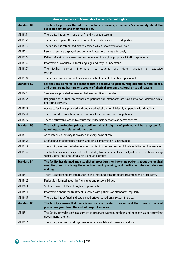| Area of Concern - B: Measurable Elements Patient Rights |                                                                                                                                                                                                   |  |  |
|---------------------------------------------------------|---------------------------------------------------------------------------------------------------------------------------------------------------------------------------------------------------|--|--|
| <b>Standard B1</b>                                      | The facility provides the information to care seekers, attendants & community about the<br>available services and their modalities.                                                               |  |  |
| <b>ME B1.1</b>                                          | The facility has uniform and user-friendly signage system.                                                                                                                                        |  |  |
| ME B <sub>1.2</sub>                                     | The facility displays the services and entitlements available in its departments.                                                                                                                 |  |  |
| <b>ME B1.3</b>                                          | The facility has established citizen charter, which is followed at all levels.                                                                                                                    |  |  |
| <b>ME B1.4</b>                                          | User charges are displayed and communicated to patients effectively.                                                                                                                              |  |  |
| <b>ME B1.5</b>                                          | Patients & visitors are sensitised and educated through appropriate IEC/BCC approaches.                                                                                                           |  |  |
| <b>ME B1.6</b>                                          | Information is available in local language and easy to understand.                                                                                                                                |  |  |
| <b>ME B1.7</b>                                          | facility<br>provides<br>information to<br>exclusive<br>The<br>patients<br>and visitor<br>through<br>an<br>set-up.                                                                                 |  |  |
| <b>ME B1.8</b>                                          | The facility ensures access to clinical records of patients to entitled personnel.                                                                                                                |  |  |
| <b>Standard B2</b>                                      | Services are delivered in a manner that is sensitive to gender, religious and cultural needs,<br>and there are no barriers on account of physical economic, cultural or social reasons.           |  |  |
| <b>ME B2.1</b>                                          | Services are provided in manner that are sensitive to gender.                                                                                                                                     |  |  |
| <b>ME B2.2</b>                                          | Religious and cultural preferences of patients and attendants are taken into consideration while<br>delivering services.                                                                          |  |  |
| ME B <sub>2.3</sub>                                     | Access to facility is provided without any physical barrier & friendly to people with disability.                                                                                                 |  |  |
| <b>ME B2.4</b>                                          | There is no discrimination on basis of social & economic status of patients.                                                                                                                      |  |  |
| <b>ME B2.5</b>                                          | There is affirmative action to ensure that vulnerable sections can access services.                                                                                                               |  |  |
| <b>Standard B3</b>                                      | The facility maintains privacy, confidentiality & dignity of patient, and has a system for<br>guarding patient related information.                                                               |  |  |
| <b>ME B3.1</b>                                          | Adequate visual privacy is provided at every point of care.                                                                                                                                       |  |  |
| <b>ME B3.2</b>                                          | Confidentiality of patients records and clinical information is maintained.                                                                                                                       |  |  |
| <b>ME B3.3</b>                                          | The facility ensures the behaviours of staff is dignified and respectful, while delivering the services.                                                                                          |  |  |
| <b>ME B3.4</b>                                          | The facility ensures privacy and confidentiality to every patient, especially of those conditions having<br>social stigma, and also safeguards vulnerable groups.                                 |  |  |
| <b>Standard B4</b>                                      | The facility has defined and established procedures for informing patients about the medical<br>condition, and involving them in treatment planning, and facilitates informed decision<br>making. |  |  |
| <b>ME B4.1</b>                                          | There is established procedures for taking informed consent before treatment and procedures.                                                                                                      |  |  |
| <b>ME B4.2</b>                                          | Patient is informed about his/her rights and responsibilities.                                                                                                                                    |  |  |
| <b>ME B4.3</b>                                          | Staff are aware of Patients rights responsibilities.                                                                                                                                              |  |  |
| <b>ME B4.4</b>                                          | Information about the treatment is shared with patients or attendants, regularly.                                                                                                                 |  |  |
| <b>ME B4.5</b>                                          | The facility has defined and established grievance redressal system in place.                                                                                                                     |  |  |
| <b>Standard B5</b>                                      | The facility ensures that there is no financial barrier to access, and that there is financial<br>protection given from the cost of hospital services.                                            |  |  |
| <b>ME B5.1</b>                                          | The facility provides cashless services to pregnant women, mothers and neonates as per prevalent<br>government schemes.                                                                           |  |  |
| <b>ME B5.2</b>                                          | The facility ensures that drugs prescribed are available at Pharmacy and wards.                                                                                                                   |  |  |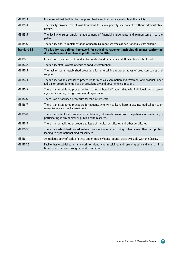| <b>ME B5.3</b>     | It is ensured that facilities for the prescribed investigations are available at the facility.                                                                                      |
|--------------------|-------------------------------------------------------------------------------------------------------------------------------------------------------------------------------------|
| <b>ME B5.4</b>     | The facility provide free of cost treatment to Below poverty line patients without administrative<br>hassles.                                                                       |
| <b>ME B5.5</b>     | The facility ensures timely reimbursement of financial entitlements and reimbursement to the<br>patients.                                                                           |
| <b>ME B5.6</b>     | The facility ensure implementation of health insurance schemes as per National /state scheme.                                                                                       |
| <b>Standard B6</b> | The facility has defined framework for ethical management including dilemmas confronted<br>during delivery of services at public health facilities.                                 |
| <b>ME B6.1</b>     | Ethical norms and code of conduct for medical and paramedical staff have been established.                                                                                          |
| <b>ME B6.2</b>     | The facility staff is aware of code of conduct established.                                                                                                                         |
| <b>ME B6.3</b>     | The facility has an established procedure for entertaining representatives of drug companies and<br>suppliers.                                                                      |
| <b>ME B6.4</b>     | The facility has an established procedure for medical examination and treatment of individual under<br>judicial or police detention as per prevalent law and government directions. |
| <b>ME B6.5</b>     | There is an established procedure for sharing of hospital/patient data with individuals and external<br>agencies including non governmental organization.                           |
| <b>ME B6.6</b>     | There is an established procedure for 'end-of-life' care.                                                                                                                           |
| <b>ME B6.7</b>     | There is an established procedure for patients who wish to leave hospital against medical advice or<br>refuse to receive specific treatment.                                        |
| <b>ME B6.8</b>     | There is an established procedure for obtaining informed consent from the patients in case facility is<br>participating in any clinical or public health research.                  |
| <b>ME B6.9</b>     | There is an established procedure to issue of medical certificates and other certificates.                                                                                          |
| ME B6.10           | There is an established procedure to ensure medical services during strikes or any other mass protest<br>leading to dysfunctional medical services.                                 |
| ME B6.11           | An updated copy of code of ethics under Indian Medical council act is available with the facility.                                                                                  |
| ME B6.12           | Facility has established a framework for identifying, receiving, and resolving ethical dilemmas' in a<br>time-bound manner through ethical committee                                |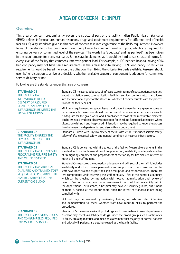#### Area of concern - C : Input

#### **Overview**

This area of concern predominantly covers the structural part of the facility. Indian Public Health Standards (IPHS) defines infrastructure, human resources, drugs and equipment requirements for different level of health facilities. Quality standards given in this area of concern take into cognizance of the IPHS requirement. However, focus of the standards has been in ensuring compliance to minimum level of inputs, which are required for ensuring delivery of committed level of the services. The words like 'adequate' and 'as per load' has been given in the requirements for many standards & measurable elements, as it would be hard to set structural norms for every level of the facility that commensurate with patient load. For example, a 100-bedded hospital having 40% bed occupancy may not have same requirements as the similar hospital having 100% occupancy. So structural requirement should be based more on the utilization, than fixing the criteria like beds available. Assessor should use his/her discretion to arrive at a decision, whether available structural component is adequate for committed service delivery or not.

Following are the standards under this area of concern:

| <b>STANDARD C1</b><br>THE FACILITY HAS<br><b>INFRASTRUCTURE FOR</b><br><b>DELIVERY OF ASSURED</b><br>SERVICES, AND AVAILABLE<br><b>INFRASTRUCTURE MEETS THE</b><br><b>PREVALENT NORMS</b> | Standard C1 measures adequacy of infrastructure in terms of space, patient amenities,<br>layout, circulation area, communication facilities, service counters, etc. It also looks<br>into the functional aspect of the structure, whether it commensurate with the process<br>flow of the facility or not.                                                                                                                                                                                                                                                                                                                                                                                                                    |
|-------------------------------------------------------------------------------------------------------------------------------------------------------------------------------------------|-------------------------------------------------------------------------------------------------------------------------------------------------------------------------------------------------------------------------------------------------------------------------------------------------------------------------------------------------------------------------------------------------------------------------------------------------------------------------------------------------------------------------------------------------------------------------------------------------------------------------------------------------------------------------------------------------------------------------------|
|                                                                                                                                                                                           | Minimum requirement for space, layout and patient amenities are given in some of<br>departments, but assessors should use his discretion to see whether space available<br>is adequate for the given work load. Compliance to most of the measurable elements<br>can be assessed by direct observation except for checking functional adequacy, where<br>discussion with staff and hospital administration may be required to know the process<br>flow between the departments, and also within a department.                                                                                                                                                                                                                 |
| <b>STANDARD C2</b><br>THE FACILITY ENSURES THE<br>PHYSICAL SAFETY OF THE<br><b>INFRASTRUCTURE.</b>                                                                                        | Standard C2 deals with Physical safety of the infrastructure. It includes seismic safety,<br>safety of lifts, electrical safety, and general condition of hospital infrastructure.                                                                                                                                                                                                                                                                                                                                                                                                                                                                                                                                            |
| <b>STANDARD C3</b><br>THE FACILITY HAS ESTABLISHED<br>PROGRAMME FOR FIRE SAFETY<br><b>AND OTHER DISASTER</b>                                                                              | Standard C3 is concerned with fire safety of the facility. Measurable elements in this<br>standard look for implementation of fire prevention, availability of adequate number<br>of fire fighting equipment and preparedness of the facility for fire disaster in terms of<br>mock drill and staff training.                                                                                                                                                                                                                                                                                                                                                                                                                 |
| <b>STANDARD C4</b><br>THE FACILITY HAS ADEQUATE<br><b>QUALIFIED AND TRAINED STAFF,</b><br>REQUIRED FOR PROVIDING THE<br><b>ASSURED SERVICES TO THE</b><br><b>CURRENT CASE LOAD</b>        | Standard C4 measures the numerical adequacy and skill sets of the staff. It includes<br>availability of doctors, nurses, paramedics and support staff. It also ensures that the<br>staff have been trained as per their job description and responsibilities. There are<br>two components while assessing the staff adequacy - first is the numeric adequacy,<br>which can be checked by interaction with hospital administration and review of<br>records. Second is to access human resources in term of their availability within<br>the department. For instance, a hospital may have 20 security guards, but if none<br>of them is posted at the labour room, then the intent of standard is not being<br>complied with. |
|                                                                                                                                                                                           | Skill set may be assessed by reviewing training records and staff interview<br>and demonstration to check whether staff have requisite skills to perform the<br>procedures.                                                                                                                                                                                                                                                                                                                                                                                                                                                                                                                                                   |
| <b>STANDARD C5</b><br>THE FACILITY PROVIDES DRUGS<br>AND CONSUMABLES REQUIRED<br><b>FOR ASSURED SERVICES</b>                                                                              | Standard C5 measures availability of drugs and consumables in user departments.<br>Assessor may check availability of drugs under the broad group such as antibiotics,<br>IV fluids, dressing material, and make an assessment that majority of normal patients<br>and critically ill patients are getting treated at the health facility.                                                                                                                                                                                                                                                                                                                                                                                    |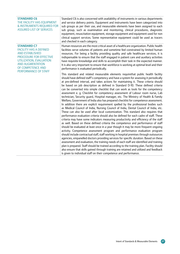| <b>STANDARD C6</b><br>THE FACILITY HAS EQUIPMENT<br>& INSTRUMENTS REQUIRED FOR<br><b>ASSURED LIST OF SERVICES</b>                                                                                           | Standard C6 is also concerned with availability of instruments in various departments<br>and service delivery points. Equipment and instruments have been categorized into<br>sub groups as per their use, and measurable elements have been assigned to each<br>sub group, such as examination and monitoring, clinical procedures, diagnostic<br>equipment, resuscitation equipment, storage equipment and equipment used for non<br>clinical support services. Some representative equipment could be used as tracers<br>and checked in each category.                                                                                                                                                                                                                                                                                                                                                                                                                                                                                                                                                                                                                                                                                                                                                                                                                                                                                                                                                                                                                                                                                                                                                                                                                                                                                                                                                                                                        |
|-------------------------------------------------------------------------------------------------------------------------------------------------------------------------------------------------------------|------------------------------------------------------------------------------------------------------------------------------------------------------------------------------------------------------------------------------------------------------------------------------------------------------------------------------------------------------------------------------------------------------------------------------------------------------------------------------------------------------------------------------------------------------------------------------------------------------------------------------------------------------------------------------------------------------------------------------------------------------------------------------------------------------------------------------------------------------------------------------------------------------------------------------------------------------------------------------------------------------------------------------------------------------------------------------------------------------------------------------------------------------------------------------------------------------------------------------------------------------------------------------------------------------------------------------------------------------------------------------------------------------------------------------------------------------------------------------------------------------------------------------------------------------------------------------------------------------------------------------------------------------------------------------------------------------------------------------------------------------------------------------------------------------------------------------------------------------------------------------------------------------------------------------------------------------------------|
| <b>STANDARD C7</b><br><b>FACILITY HAS A DEFINED</b><br><b>AND ESTABLISHED</b><br>PROCEDURE FOR EFFECTIVE<br>UTILIZATION, EVALUATION<br><b>AND AUGMENTATION</b><br>OF COMPETENCE AND<br>PERFORMANCE OF STAFF | Human resources are the most critical asset of a healthcare organization. Public health<br>facilities serve volumes of patients and sometime feel constrained by limited human<br>resources. For being a facility providing quality and safe healthcare services, it is<br>indispensable to ensure that the staff engaged in patient care and auxiliary activities<br>have requisite knowledge and skills to accomplish their task in the expected manner.<br>It is also very important to ensure that workforce is working at optimal level and their<br>performance is evaluated periodically.                                                                                                                                                                                                                                                                                                                                                                                                                                                                                                                                                                                                                                                                                                                                                                                                                                                                                                                                                                                                                                                                                                                                                                                                                                                                                                                                                                 |
|                                                                                                                                                                                                             | This standard and related measurable elements requirethat public health facility<br>should have defined staff's competency and have a system for assessing it periodically<br>at pre-defined interval, and takes actions for maintaining it. These criteria should<br>be based on job description as defined in Standard D-10. These defined criteria<br>can be converted into simple checklist that can work as tools for the competency<br>assessment e. g. Checklist for competency assessment of Labour room nurse, Lab<br>technician, Security guard, Hospital manager, etc. The Ministry of Health & Family<br>Welfare, Government of India also has prepared checklist for competence assessment.<br>In addition there are explicit requirement spelled by the professional bodies such<br>as Medical Council of India, Nursing Council of India, Dental Council of India, etc.<br>These can also be used after local customization. This standard also requires that<br>performance evaluation criteria should also be defined for each cadre of staff. These<br>criteria may have some indicators measuring productivity and efficiency of the staff<br>as well. Based on these defined criteria the competence and performance of staff<br>should be evaluated at least once in a year though it may be more frequent ongoing<br>activity. Competence assessment program and performance evaluation program<br>should include contractual staff, staff working in hospital premises through outsources<br>agencies, empanelled doctors providing services for specific duration. Based on these<br>assessment and evaluation, the training needs of each staff are identified and training<br>plan is prepared. Staff should be trained according to the training plan. Facility should<br>also ensure that skills gained through training are retained and utilized and feedback<br>is given to individual staff on their competence and performance. |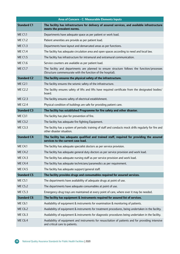|                    | Area of Concern - C: Measurable Elements Inputs                                                                                                            |
|--------------------|------------------------------------------------------------------------------------------------------------------------------------------------------------|
| <b>Standard C1</b> | The facility has infrastructure for delivery of assured services, and available infrastructure<br>meets the prevalent norms.                               |
| <b>ME C1.1</b>     | Departments have adequate space as per patient or work load.                                                                                               |
| <b>ME C1.2</b>     | Patient amenities are provide as per patient load.                                                                                                         |
| <b>ME C1.3</b>     | Departments have layout and demarcated areas as per functions.                                                                                             |
| <b>ME C1.4</b>     | The facility has adequate circulation area and open spaces according to need and local law.                                                                |
| <b>ME C1.5</b>     | The facility has infrastructure for intramural and extramural communication.                                                                               |
| <b>ME C1.6</b>     | Service counters are available as per patient load.                                                                                                        |
| <b>ME C1.7</b>     | The facility and departments are planned to ensure structure follows the function/processes<br>(Structure commensurate with the function of the hospital). |
| <b>Standard C2</b> | The facility ensures the physical safety of the infrastructure.                                                                                            |
| <b>ME C2.1</b>     | The facility ensures the seismic safety of the infrastructure.                                                                                             |
| <b>ME C2.2</b>     | The facility ensures safety of lifts and lifts have required certificate from the designated bodies/<br>board.                                             |
| <b>ME C2.3</b>     | The facility ensures safety of electrical establishment.                                                                                                   |
| <b>ME C2.4</b>     | Physical condition of buildings are safe for providing patient care.                                                                                       |
| <b>Standard C3</b> | The facility has established Programme for fire safety and other disaster.                                                                                 |
| <b>ME C3.1</b>     | The facility has plan for prevention of fire.                                                                                                              |
| <b>ME C3.2</b>     | The facility has adequate fire fighting Equipment.                                                                                                         |
| <b>ME C3.3</b>     | The facility has a system of periodic training of staff and conducts mock drills regularly for fire and<br>other disaster situation.                       |
| <b>Standard C4</b> | The facility has adequate qualified and trained staff, required for providing the assured<br>services to the current case load.                            |
| <b>ME C4.1</b>     | The facility has adequate specialist doctors as per service provision.                                                                                     |
| <b>ME C4.2</b>     | The facility has adequate general duty doctors as per service provision and work load.                                                                     |
| <b>ME C4.3</b>     | The facility has adequate nursing staff as per service provision and work load.                                                                            |
| <b>ME C4.4</b>     | The facility has adequate technicians/paramedics as per requirement.                                                                                       |
| <b>ME C4.5</b>     | The facility has adequate support/general staff.                                                                                                           |
| <b>Standard C5</b> | The facility provides drugs and consumables required for assured services.                                                                                 |
| <b>ME C5.1</b>     | The departments have availability of adequate drugs at point of use.                                                                                       |
| <b>ME C5.2</b>     | The departments have adequate consumables at point of use.                                                                                                 |
| <b>ME C5.3</b>     | Emergency drug trays are maintained at every point of care, where ever it may be needed.                                                                   |
| <b>Standard C6</b> | The facility has equipment & instruments required for assured list of services.                                                                            |
| <b>ME C6.1</b>     | Availability of equipment & instruments for examination & monitoring of patients.                                                                          |
| <b>ME C6.2</b>     | Availability of equipment & instruments for treatment procedures, being undertaken in the facility.                                                        |
| <b>ME C6.3</b>     | Availability of equipment & instruments for diagnostic procedures being undertaken in the facility.                                                        |
| <b>ME C6.4</b>     | Availability of equipment and instruments for resuscitation of patients and for providing intensive<br>and critical care to patients.                      |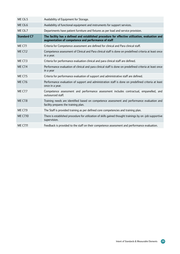| <b>ME C6.5</b>     | Availability of Equipment for Storage.                                                                                                                |
|--------------------|-------------------------------------------------------------------------------------------------------------------------------------------------------|
| <b>ME C6.6</b>     | Availability of functional equipment and instruments for support services.                                                                            |
| <b>ME C6.7</b>     | Departments have patient furniture and fixtures as per load and service provision.                                                                    |
| <b>Standard C7</b> | The facility has a defined and established procedure for effective utilization, evaluation and<br>augmentation of competence and performance of staff |
| <b>ME C7.1</b>     | Criteria for Competence assessment are defined for clinical and Para clinical staff.                                                                  |
| <b>ME C7.2</b>     | Competence assessment of Clinical and Para clinical staff is done on predefined criteria at least once<br>in a year.                                  |
| <b>ME C7.3</b>     | Criteria for performance evaluation clinical and para clinical staff are defined.                                                                     |
| <b>ME C7.4</b>     | Performance evaluation of clinical and para clinical staff is done on predefined criteria at least once<br>in a year                                  |
| <b>ME C7.5</b>     | Criteria for performance evaluation of support and administrative staff are defined.                                                                  |
| <b>ME C7.6</b>     | Performance evaluation of support and administration staff is done on predefined criteria at least<br>once in a year.                                 |
| <b>ME C7.7</b>     | Competence assessment and performance assessment includes contractual, empanelled, and<br>outsourced staff.                                           |
| <b>ME C7.8</b>     | Training needs are identified based on competence assessment and performance evaluation and<br>facility prepares the training plan.                   |
| <b>ME C7.9</b>     | The Staff is provided training as per defined core competencies and training plan.                                                                    |
| ME C7.10           | There is established procedure for utilization of skills gained thought trainings by on -job supportive<br>supervision.                               |
| <b>ME C7.11</b>    | Feedback is provided to the staff on their competence assessment and performance evaluation.                                                          |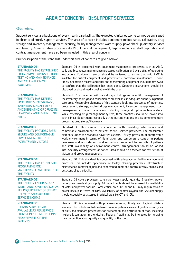# Area of Concern - D : Support services

### **Overview**

Support services are backbone of every health care facility. The expected clinical outcome cannot be envisaged in absence of sturdy support services. This area of concern includes equipment maintenance, calibration, drug storage and inventory management, security, facility management, water supply, power backup, dietary services and laundry. Administrative processes like RKS, Financial management, legal compliances, staff deputation and contract management have also been included in this area of concern.

Brief description of the standards under this area of concern are given below:

| <b>STANDARD D1</b><br>THE FACILITY HAS ESTABLISHED<br>PROGRAMME FOR INSPECTION,<br><b>TESTING AND MAINTENANCE</b><br><b>AND CALIBRATION OF</b><br><b>EQUIPMENT</b>                  | Standard D1 is concerned with equipment maintenance processes, such as AMC,<br>daily and breakdown maintenance processes, calibration and availability of operating<br>instructions. Equipment records should be reviewed to ensure that valid AMC is<br>available for critical equipment and preventive / corrective maintenance is done<br>timely. Calibration records and label on the measuring equipment should be reviewed<br>to confirm that the calibration has been done. Operating instructions should be<br>displayed or should readily available with the user.                                                             |
|-------------------------------------------------------------------------------------------------------------------------------------------------------------------------------------|-----------------------------------------------------------------------------------------------------------------------------------------------------------------------------------------------------------------------------------------------------------------------------------------------------------------------------------------------------------------------------------------------------------------------------------------------------------------------------------------------------------------------------------------------------------------------------------------------------------------------------------------|
| <b>STANDARD D2</b><br>THE FACILITY HAS DEFINED<br>PROCEDURES FOR STORAGE,<br><b>INVENTORY MANAGEMENT</b><br>AND DISPENSING OF DRUGS IN<br>PHARMACY AND PATIENT CARE<br><b>AREAS</b> | Standard D2 is concerned with safe storage of drugs and scientific management of<br>the inventory, so drugs and consumables are available in adequate quantity in patient<br>care area. Measurable elements of this standard look into processes of indenting,<br>procurement, storage, expired drugs management, inventory management, stock<br>management at patient care areas, including storage at optimum temperature.<br>While assessing drug management system, these practices should be looked into<br>each clinical department, especially at the nursing stations and its complementary<br>process at drug stores/Pharmacy. |
| <b>STANDARD D3</b><br>THE FACILITY PROVIDES SAFE,<br><b>SECURE AND COMFORTABLE</b><br><b>ENVIRONMENT TO STAFF,</b><br>PATIENTS AND VISITORS                                         | Standard D3 This standard is concerned with providing safe, secure and<br>comfortable environment to patients as well service providers. The measurable<br>elements under this standard have two aspects, - firstly, provision of comfortable<br>work environment in terms of illumination and temperature control in patient<br>care areas and work stations, and secondly, arrangement for security of patients<br>and staff. Availability of environment control arrangements should be looked<br>into. Security arrangements at patient area should be observed for restriction of<br>visitors and crowd management.                |
| <b>STANDARD D4</b><br>THE FACILITY HAS ESTABLISHED<br><b>PROGRAMME FOR</b><br>MAINTENANCE AND UPKEEP OF<br>THE FACILITY                                                             | Standard D4 This standard is concerned with adequacy of facility management<br>processes. This includes appearance of facility, cleaning processes, infrastructure<br>maintenance, removal of junk and condemned items and control of stray animals and<br>pest control at the facility.                                                                                                                                                                                                                                                                                                                                                |
| <b>STANDARD D5</b><br>THE FACILITY ENSURES 24X7<br><b>WATER AND POWER BACKUP AS</b><br>PER REQUIREMENT OF SERVICE<br><b>DELIVERY, AND SUPPORT</b><br><b>SERVICES NORMS</b>          | Standard D5 covers processes to ensure water supply (quantity & quality), power<br>back-up and medical gas supply. All departments should be assessed for availability<br>of water and power back-up. Some critical area like OT and ICU may require two-tire<br>power backup in terms of UPS. Availability of central oxygen and vacuum supply<br>should especially be assessed in critical area like OT and ICU.                                                                                                                                                                                                                      |
| <b>STANDARD D6</b><br><b>DIETARY SERVICES ARE</b><br><b>AVAILABLE AS PER SERVICE</b><br>PROVISION AND NUTRITIONAL<br>REQUIREMENT OF THE<br><b>PATIENTS</b>                          | Standard D6 is concerned with processes ensuring timely and hygienic dietary<br>services. This includes nutritional assessment of patients, availability of different types<br>of diets and standard procedures for preparation and distribution of food, including<br>hygiene & sanitation in the kitchen. Patients / staff may be interacted for knowing<br>their perception about quality and quantity of the food.                                                                                                                                                                                                                  |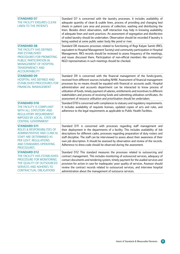| <b>STANDARD D7</b><br>THE FACILITY ENSURES CLEAN<br><b>LINEN TO THE PATIENTS</b>                                                                                                                                     | Standard D7 is concerned with the laundry processes. It includes availability of<br>adequate quantity of clean & usable linen, process of providing and changing bed<br>sheets in patient care area and process of collection, washing and distributing the<br>linen. Besides direct observation, staff interaction may help in knowing availability<br>of adequate linen and work practices. An assessment of segregation and disinfection<br>of soiled laundry should be undertaken. Observation should be recorded if laundry is<br>being washed at some public water body like pond or river.             |
|----------------------------------------------------------------------------------------------------------------------------------------------------------------------------------------------------------------------|---------------------------------------------------------------------------------------------------------------------------------------------------------------------------------------------------------------------------------------------------------------------------------------------------------------------------------------------------------------------------------------------------------------------------------------------------------------------------------------------------------------------------------------------------------------------------------------------------------------|
| <b>STANDARD D8</b><br>THE FACILITY HAS DEFINED<br><b>AND ESTABLISHED</b><br>PROCEDURES FOR PROMOTING<br>PUBLIC PARTICIPATION IN<br><b>MANAGEMENT OF HOSPITAL</b><br><b>TRANSPARENCY AND</b><br><b>ACCOUNTABILITY</b> | Standard D8 measures processes related to functioning of Rogi Kalyan Samiti (RKS;<br>equivalent to Hospital Management Society) and community participation in Hospital<br>Management. RKS records should be reviewed to assess frequency of the meetings,<br>and issues discussed there. Participation of non-official members like community/<br>NGO representatives in such meetings should be checked.                                                                                                                                                                                                    |
| <b>STANDARD D9</b><br>HOSPITAL HAS DEFINED AND<br><b>ESTABLISHED PROCEDURES FOR</b><br><b>FINANCIAL MANAGEMENT</b>                                                                                                   | Standard D9 is concerned with the financial management of the funds/grants,<br>received from different sources including NHM. Assessment of financial management<br>processes by no means should be equated with financial or accounts audit. Hospital<br>administration and accounts department can be interacted to know process of<br>utilization of funds, timely payment of salaries, entitlements and incentives to different<br>stakeholders and process of receiving funds and submitting utilization certificates. An<br>assessment of resource utilisation and prioritisation should be undertaken. |
| <b>STANDARD D10</b><br>THE FACILITY IS COMPLIANT<br>WITH ALL STATUTORY AND<br><b>REGULATORY REQUIREMENT</b><br><b>IMPOSED BY LOCAL, STATE OR</b><br><b>CENTRAL GOVERNMENT</b>                                        | Standard D10 is concerned with compliances to statuary and regulatory requirements.<br>It includes availability of requisite licenses, updated copies of acts and rules, and<br>adherence to the legal requirements as applicable to Public Health Facilities.                                                                                                                                                                                                                                                                                                                                                |
| <b>STANDARD D11</b><br>ROLES & RESPONSIBILITIES OF<br><b>ADMINISTRATIVE AND CLINICAL</b><br>STAFF ARE DETERMINED AS<br>PER GOVT. REGULATIONS<br>AND STANDARDS OPERATING<br><b>PROCEDURES</b>                         | Standard D11 is concerned with processes regarding staff management and<br>their deployment in the departments of a facility. This includes availability of Job<br>descriptions for different cadre, processes regarding preparation of duty rosters and<br>staff discipline. The staff can be interviewed to assess about their awareness of their<br>own job description. It should be assessed by observation and review of the records.<br>Adherence to dress-code should be observed during the assessment.                                                                                              |
| <b>STANDARD D12</b><br>THE FACILITY HAS ESTABLISHED<br>PROCEDURE FOR MONITORING<br>THE QUALITY OF OUTSOURCED<br><b>SERVICES AND ADHERES TO</b><br><b>CONTRACTUAL OBLIGATIONS</b>                                     | Standard D12 This standard measures the processes related to outsourcing and<br>contract management. This includes monitoring of outsourced services, adequacy of<br>contact documents and tendering system, timely payment for the availed services and<br>provision for action in case for inadequate/ poor quality of services. Assessor should<br>review the contract records related to outsourced services, and interview hospital<br>administration about the management of outsource services.                                                                                                        |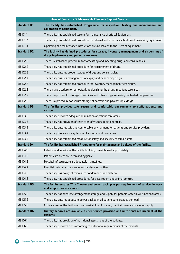|                      | Area of Concern - D: Measurable Elements Support Services                                                                            |
|----------------------|--------------------------------------------------------------------------------------------------------------------------------------|
| <b>Standard D1</b>   | The facility has established Programme for inspection, testing and maintenance and<br>calibration of Equipment.                      |
| <b>MED1.1</b>        | The facility has established system for maintenance of critical Equipment.                                                           |
| <b>MED1.2</b>        | The facility has established procedure for internal and external calibration of measuring Equipment.                                 |
| <b>MED1.3</b>        | Operating and maintenance instructions are available with the users of equipment.                                                    |
| <b>Standard D2</b>   | The facility has defined procedures for storage, inventory management and dispensing of<br>drugs in pharmacy and patient care areas. |
| <b>MED2.1</b>        | There is established procedure for forecasting and indenting drugs and consumables.                                                  |
| ME D <sub>2</sub> .2 | The facility has established procedure for procurement of drugs.                                                                     |
| <b>MED2.3</b>        | The facility ensures proper storage of drugs and consumables.                                                                        |
| <b>MED2.4</b>        | The facility ensures management of expiry and near expiry drugs.                                                                     |
| <b>MED2.5</b>        | The facility has established procedure for inventory management techniques.                                                          |
| <b>MED2.6</b>        | There is a procedure for periodically replenishing the drugs in patient care areas.                                                  |
| <b>MED2.7</b>        | There is a process for storage of vaccines and other drugs, requiring controlled temperature.                                        |
| <b>MED2.8</b>        | There is a procedure for secure storage of narcotic and psychotropic drugs.                                                          |
| <b>Standard D3</b>   | The facility provides safe, secure and comfortable environment to staff, patients and<br>visitors.                                   |
| <b>MED3.1</b>        | The facility provides adequate illumination at patient care areas.                                                                   |
| <b>MED3.2</b>        | The facility has provision of restriction of visitors in patient areas.                                                              |
| ME D3.3              | The facility ensures safe and comfortable environment for patients and service providers.                                            |
| <b>MED3.4</b>        | The facility has security system in place in patient care areas.                                                                     |
| <b>MED3.5</b>        | The facility has established measure for safety and security of female staff.                                                        |
| <b>Standard D4</b>   | The facility has established Programme for maintenance and upkeep of the facility.                                                   |
| <b>ME D4.1</b>       | Exterior and interior of the facility building is maintained appropriately                                                           |
| <b>MED4.2</b>        | Patient care areas are clean and hygienic.                                                                                           |
| <b>MED4.3</b>        | Hospital infrastructure is adequately maintained.                                                                                    |
| <b>MED4.4</b>        | Hospital maintains open areas and landscaped of them.                                                                                |
| <b>MED4.5</b>        | The facility has policy of removal of condemned junk material.                                                                       |
| <b>MED4.6</b>        | The facility has established procedures for pest, rodent and animal control.                                                         |
| <b>Standard D5</b>   | The facility ensures $24 \times 7$ water and power backup as per requirement of service delivery,<br>and support services norms.     |
| <b>MED5.1</b>        | The facility has adequate arrangement storage and supply for potable water in all functional areas.                                  |
| <b>MED5.2</b>        | The facility ensures adequate power backup in all patient care areas as per load.                                                    |
| <b>MED5.3</b>        | Critical areas of the facility ensures availability of oxygen, medical gases and vacuum supply.                                      |
| <b>Standard D6</b>   | Dietary services are available as per service provision and nutritional requirement of the<br>patients.                              |
| <b>MED6.1</b>        | The facility has provision of nutritional assessment of the patients.                                                                |
| <b>MED6.2</b>        | The facility provides diets according to nutritional requirements of the patients.                                                   |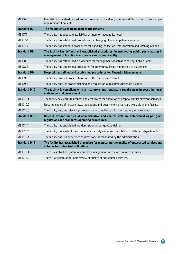| <b>MED6.3</b>        | Hospital has standard procedures for preparation, handling, storage and distribution of diets, as per<br>requirement of patients.                    |
|----------------------|------------------------------------------------------------------------------------------------------------------------------------------------------|
| <b>Standard D7</b>   | The facility ensures clean linen to the patients.                                                                                                    |
| <b>MED7.1</b>        | The facility has adequate availability of linen for meeting its need.                                                                                |
| <b>MED7.2</b>        | The facility has established procedures for changing of linen in patient care areas                                                                  |
| <b>MED7.3</b>        | The facility has standard procedures for handling, collection, transportation and washing of linen.                                                  |
| <b>Standard D8</b>   | The facility has defined and established procedures for promoting public participation in<br>management of hospital transparency and accountability. |
| <b>ME D8.1</b>       | The facility has established a procedure for management of activities of Rogi Kalyan Samiti.                                                         |
| <b>MED8.2</b>        | The facility has established procedures for community based monitoring of its services.                                                              |
| <b>Standard D9</b>   | Hospital has defined and established procedures for Financial Management.                                                                            |
| <b>ME D9.1</b>       | The facility ensures proper utilization of the fund provided to it.                                                                                  |
| <b>ME D9.2</b>       | The facility ensures proper planning and requisition of resources based on its need.                                                                 |
|                      |                                                                                                                                                      |
| <b>Standard D10</b>  | The facility is compliant with all statutory and regulatory requirement imposed by local,<br>state or central government.                            |
| <b>MED10.1</b>       | The facility has requisite licences and certificates for operation of hospital and its different activities.                                         |
| ME D10.2             | Updated copies of relevant laws, regulations and government orders are available at the facility.                                                    |
| <b>MED10.3</b>       | The facility ensures relevant processes are in compliance with the statutory requirements.                                                           |
| <b>Standard D11</b>  | Roles & Responsibilities of administrative and clinical staff are determined as per govt.<br>regulations and standards operating procedures.         |
| <b>MED11.1</b>       | The facility has established job description as per govt guidelines.                                                                                 |
| ME D11.2             | The facility has a established procedure for duty roster and deputation to different departments.                                                    |
| ME D11.3             | The facility ensures adherence to dress code as mandated by the administration.                                                                      |
| <b>Standard D12</b>  | The facility has established procedure for monitoring the quality of outsourced services and<br>adheres to contractual obligations.                  |
| ME D <sub>12.1</sub> | There is established system of contract management for the out sourced services.                                                                     |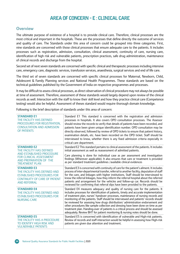# Area of Concern - E : Clinical Care

#### **Overview**

The ultimate purpose of existence of a hospital is to provide clinical care. Therefore, clinical processes are the most critical and important in the hospitals. These are the processes that define directly the outcome of services and quality of care. The Standards under this area of concern could be grouped into three categories. First, nine standards are concerned with those clinical processes that ensure adequate care to the patients. It includes processes such as registration, admission, consultation, clinical assessment, continuity of care, nursing care, identification of high risk and vulnerable patients, prescription practices, safe drug administration, maintenance of clinical records and discharge from the hospital.

Second set of next seven standards are concerned with specific clinical and therapeutic processes including intensive care, emergency care, diagnostic services, transfusion services, anaesthesia, surgical services and end of life care.

The third set of seven standards are concerned with specific clinical processes for Maternal, Newborn, Child, Adolescent & Family Planning services and National Health Programmes. These standards are based on the technical guidelines published by the Government of India on respective programmes and processes.

It may be difficult to assess clinical processes, as direct observation of clinical procedure may not always be possible at time of assessment. Therefore, assessment of these standards would largely depend upon review of the clinical records as well. Interaction with the staff to know their skill level and how they practice clinical care (Competence testing) would also be helpful. Assessment of theses standard would require thorough domain knowledge.

Following is the brief description of standards under this area of concern:

| <b>STANDARD E1</b><br>THE FACILITY HAS DEFINED<br>PROCEDURES FOR REGISTRATION,<br><b>CONSULTATION AND ADMISSION</b><br>OF PATIENTS                     | Standard E1 This standard is concerned with the registration and admission<br>processes in hospitals. It also covers OPD consultation processes. The Assessor<br>should review the records to verify that details of patients have been recorded, and<br>patients have been given unique identification number. OPD consultation may be<br>directly observed, followed by review of OPD tickets to ensure that patient history,<br>examination details, etc. have been recorded on the OPD ticket. Staff should be<br>interviewed to know, whether there is any fixed admission criteria especially in<br>critical care department.                                                                      |
|--------------------------------------------------------------------------------------------------------------------------------------------------------|----------------------------------------------------------------------------------------------------------------------------------------------------------------------------------------------------------------------------------------------------------------------------------------------------------------------------------------------------------------------------------------------------------------------------------------------------------------------------------------------------------------------------------------------------------------------------------------------------------------------------------------------------------------------------------------------------------|
| <b>STANDARD E2</b><br>THE FACILITY HAS DEFINED<br>AND ESTABLISHED PROCEDURE                                                                            | Standard E2 This standard pertains to clinical assessment of the patients. It includes<br>initial assessment as well as reassessment of admitted patients.                                                                                                                                                                                                                                                                                                                                                                                                                                                                                                                                               |
| <b>FOR CLINICAL ASSESSMENT</b><br>AND PREPARATION OF THE<br><b>TREATMENT PLAN</b>                                                                      | Care planning is done for individual case as per assessment and investigation<br>findings (Wherever applicable). It also ensures that care or treatment is provided<br>as per standard treatment quidelines /available clinical evidences                                                                                                                                                                                                                                                                                                                                                                                                                                                                |
| <b>STANDARD E3</b><br>THE FACILITY HAS DEFINED AND<br><b>ESTABLISHED PROCEDURES FOR</b><br><b>CONTINUITY OF CARE OF PATIENT</b><br><b>AND REFERRAL</b> | Standard E3 is concerned with continuity of care for the patient's ailment. It includes<br>process of inter-departmental transfer, referral to another facility, deputation of staff<br>for the care, and linkages with higher institutions. Staff should be interviewed to<br>know the referral linkages, how they inform the referral hospital about the referred<br>patients and arrangement for the vehicles and follow-up car. Records should be<br>reviewed for confirming that referral slips have been provided to the patients.                                                                                                                                                                 |
| <b>STANDARD E4</b><br>THE FACILITY HAS DEFINED AND<br><b>ESTABLISHED PROCEDURES FOR</b><br><b>NURSING CARE</b>                                         | Standard E4 measures adequacy and quality of nursing care for the patients. It<br>includes processes for identification of patients, timely and accurate implementation<br>of treatment plan, nurses' handover processes, maintenance of nursing records and<br>monitoring of the patients. Staff should be interviewed and patients' records should<br>be reviewed for assessing how drugs distribution/ administration endorsement and<br>other procedures like sample collection and dressing have been done on time as per<br>treatment plan. Handing-over of patients is a critical process and should be assessed<br>adequately. Review BHT for patient monitoring & nursing notes should be done. |
| <b>STANDARD E5</b><br>THE FACILITY HAS A PROCEDURE<br>TO IDENTIFY HIGH RISK AND<br><b>VULNERABLE PATIENTS</b>                                          | Standard E5 is concerned with identification of vulnerable and High-risk patients.<br>Review of records and staff interaction would be helpful in assessing how High-risk<br>patients are given due attention and treatment.                                                                                                                                                                                                                                                                                                                                                                                                                                                                             |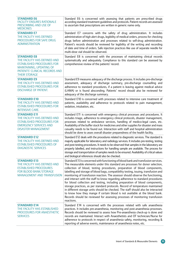| <b>STANDARD E6</b><br><b>FACILITY ENSURES RATIONALE</b><br>PRESCRIBING AND USE OF<br><b>MEDICINES</b>                                                                         | Standard E6 is concerned with assessing that patients are prescribed drugs<br>according standard treatment guidelines and protocols. Patient records are assessed<br>to ascertain that prescriptions are written in generic name only.                                                                                                                                                                                                                                                                                                                                                                                                                                                                                                                                                                                                                                                                                                              |
|-------------------------------------------------------------------------------------------------------------------------------------------------------------------------------|-----------------------------------------------------------------------------------------------------------------------------------------------------------------------------------------------------------------------------------------------------------------------------------------------------------------------------------------------------------------------------------------------------------------------------------------------------------------------------------------------------------------------------------------------------------------------------------------------------------------------------------------------------------------------------------------------------------------------------------------------------------------------------------------------------------------------------------------------------------------------------------------------------------------------------------------------------|
| <b>STANDARD E7</b><br>THE FACILITY HAS DEFINED<br>PROCEDURES FOR SAFE DRUG<br><b>ADMINISTRATION</b>                                                                           | Standard E7 concerns with the safety of drug administration. It includes<br>administration of high alert drugs, legibility of medical orders, process for checking<br>drugs before administration and processes related to self-drug administration.<br>Patient's records should be reviewed for legibility of the writing and recording<br>of date and time of orders. Safe injection practices like use of separate needle for<br>multi-dose vial should be observed.                                                                                                                                                                                                                                                                                                                                                                                                                                                                             |
| <b>STANDARD E8</b><br>THE FACILITY HAS DEFINED AND<br><b>ESTABLISHED PROCEDURES FOR</b><br>MAINTAINING, UPDATING OF<br>PATIENTS' CLINICAL RECORDS AND<br><b>THEIR STORAGE</b> | Standard E8 is concerned with the processes of maintaining clinical records<br>systematically and adequately. Compliance to this standard can be assessed by<br>comprehensive review of the patients' record.                                                                                                                                                                                                                                                                                                                                                                                                                                                                                                                                                                                                                                                                                                                                       |
| <b>STANDARD E9</b><br>THE FACILITY HAS DEFINED AND<br><b>ESTABLISHED PROCEDURES FOR</b><br><b>DISCHARGE OF PATIENT.</b>                                                       | Standard E9 measures adequacy of the discharge process. It includes pre-discharge<br>assessment, adequacy of discharge summary, pre-discharge counselling and<br>adherence to standard procedures, if a patient is leaving against medical advice<br>(LAMA) or is found absconding. Patients' record should also be reviewed for<br>adequacy of the discharge summary.                                                                                                                                                                                                                                                                                                                                                                                                                                                                                                                                                                              |
| <b>STANDARD E10</b><br>THE FACILITY HAS DEFINED AND<br><b>ESTABLISHED PROCEDURES FOR</b><br><b>INTENSIVE CARE.</b>                                                            | Standard E10 is concerned with processes related to intensive care treatment of<br>patients, availability and adherence to protocols related to pain management,<br>sedation, intubation, etc.                                                                                                                                                                                                                                                                                                                                                                                                                                                                                                                                                                                                                                                                                                                                                      |
| <b>STANDARD E11</b><br>THE FACILITY HAS DEFINED AND<br><b>ESTABLISHED PROCEDURES FOR</b><br><b>EMERGENCY SERVICES AND</b><br><b>DISASTER MANAGEMENT</b>                       | Standard E11 is concerned with emergency clinical processes and procedures. It<br>includes triage, adherence to emergency clinical protocols, disaster management,<br>processes related to ambulance services, handling of medico-legal cases, etc.<br>Availability of the buffer stock for medicines and other supplies for disaster and mass<br>casualty needs to be found out. Interaction with staff and hospital administration<br>should be done to asses overall disaster preparedness of the health facility.                                                                                                                                                                                                                                                                                                                                                                                                                               |
| <b>STANDARD E12</b><br>THE FACILITY HAS DEFINED AND<br><b>ESTABLISHED PROCEDURES OF</b><br><b>DIAGNOSTIC SERVICES</b>                                                         | Standard E12 deals with the procedures related to diagnostic services. The standard is<br>majorly applicable for laboratory and radiology services. It includes pre-testing, testing<br>and post-testing procedures. It needs to be observed that samples in the laboratory are<br>properly labelled, and instructions for handling sample are available. The process for<br>storage and transportation of samples needs to be ensured. Availability of critical values<br>and biological references should also be checked.                                                                                                                                                                                                                                                                                                                                                                                                                        |
| <b>STANDARD E13</b><br>THE FACILITY HAS DEFINED AND<br><b>ESTABLISHED PROCEDURES</b><br>FOR BLOOD BANK/STORAGE<br><b>MANAGEMENT AND TRANSFUSION</b>                           | Standard E13 is concerned with functioning of blood bank and transfusion services.<br>The measurable elements under this standard are processes for donor selection,<br>collection of blood, testing procedures, preparation of blood components,<br>labelling and storage of blood bags, compatibility testing, issuing, transfusion and<br>monitoring of transfusion reaction. The assessor should observe the functioning,<br>and interact with the staff to know regarding adherence to standard procedures<br>for blood collection and testing, including preparation of blood components,<br>storage practices, as per standard protocols. Record of temperature maintained<br>in different storage units should be checked. The staff should also be interacted<br>to know how they mange if certain blood is not available at the blood bank.<br>Records should be reviewed for assessing processes of monitoring transfusion<br>reactions. |
| <b>STANDARD E14</b><br>THE FACILITY HAS ESTABLISHED<br>PROCEDURES FOR ANAESTHETIC<br><b>SERVICES</b>                                                                          | Standard E14 is concerned with the processes related with safe anaesthesia<br>practices. It includes pre-anaesthesia, monitoring and post-anaesthesia processes.<br>Records should be reviewed to assess how Pre-anaesthesia check-up is done and<br>records are maintained. Interact with Anaesthetists and OT technician/Nurse for<br>adherence to protocols in respect of anaesthesia safety, monitoring, recording &<br>reporting of adverse events, maintenance of anaesthesia notes, etc.                                                                                                                                                                                                                                                                                                                                                                                                                                                     |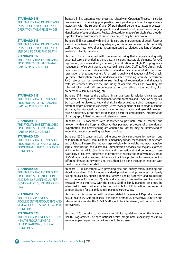| <b>STANDARD E15</b><br>THE FACILITY HAS DEFINED AND<br><b>ESTABLISHED PROCEDURES OF</b><br><b>OPERATION THEATRE SERVICES</b>                                   | Standard E15 is concerned with processes related with Operation Theatre. It includes<br>processes for OT scheduling, pre-operative, Post-operative practices of surgical safety.<br>Interaction with the surgeon(s) and OT staff should be done to assess processes -<br>preoperative medication, part preparation and evaluation of patient before surgery,<br>identification of surgical site, etc. Review of records for usage of surgical safety checklist<br>& protocol for instrument count, suture material, etc may be undertaken.                                                                                                                                                                                                                                                                                                                                                     |
|----------------------------------------------------------------------------------------------------------------------------------------------------------------|------------------------------------------------------------------------------------------------------------------------------------------------------------------------------------------------------------------------------------------------------------------------------------------------------------------------------------------------------------------------------------------------------------------------------------------------------------------------------------------------------------------------------------------------------------------------------------------------------------------------------------------------------------------------------------------------------------------------------------------------------------------------------------------------------------------------------------------------------------------------------------------------|
| <b>STANDARD E16</b><br>THE FACILITY HAS DEFINED AND<br><b>ESTABLISHED PROCEDURES FOR</b><br>END OF LIFE CARE AND DEATH                                         | Standard E 16 concerned with end of life care and management of death. Records<br>should be reviewed for knowing adequacy of the notes. Interact with the facility<br>staff to know how news of death is communicated to relatives, and kind of support<br>available to family members.                                                                                                                                                                                                                                                                                                                                                                                                                                                                                                                                                                                                        |
| <b>STANDARD E17</b><br>THE FACILITY HAS ESTABLISHED<br>PROCEDURES FOR ANTENATAL<br><b>CARE AS PER GUIDELINES</b>                                               | Standard E17 is concerned with processes ensuring that adequate and quality<br>antenatal care is provided at the facility. It includes measurable elements for ANC<br>registration, processes during check-up, identification of High Risk pregnancy,<br>management of serve anaemia and counselling services. Staff at ANC clinic should<br>be interviewed and records should be reviewed for maintenance of MCP cards and<br>registration of pregnant women. For assessing quality and adequacy of ANC check-<br>up, direct observation may be undertaken after obtaining requisite permission.<br>ANC records can be reviewed to see findings of examination and diagnostic<br>tests are recorded. Review the line listing of anaemia cases and how they are<br>followed. Client and staff can be interacted for counselling on the nutrition, birth<br>preparedness, family planning, etc. |
| <b>STANDARD E18</b><br>THE FACILITY HAS ESTABLISHED<br>PROCEDURES FOR INTRANATAL<br><b>CARE AS PER GUIDELINES</b>                                              | Standard E18 measures the quality of intra-natal care. It includes clinical process<br>for normal delivery as well management of complications and C-Section surgeries.<br>Staff can be interviewed to know their skill and practices regarding management of<br>different stages of labour, especially Active Management of Third stage of labour.<br>Staff may be interacted for demonstration of resuscitation and essential newborn<br>care. Competency of the staff for managing obstetric emergencies, interpretation<br>of partograph, APGAR score should also be assessed.                                                                                                                                                                                                                                                                                                             |
| <b>STANDARD E19</b><br>THE FACILITY HAS ESTABLISHED<br>PROCEDURES FOR POSTNATAL<br><b>CARE AS PER GUIDELINES</b>                                               | Standard E19 is concerned with adherence to post-natal care of mother and<br>newborn within the hospital. Observe that postnatal protocols of prevention of<br>Hypothermia and breastfeeding are adhered to. Mother may be interviewed to<br>know that proper counselling has been provided.                                                                                                                                                                                                                                                                                                                                                                                                                                                                                                                                                                                                   |
| <b>STANDARD E20</b><br>THE FACILITY HAS ESTABLISHED<br>PROCEDURES FOR CARE OF NEW<br>BORN, INFANT AND CHILD AS PER<br><b>GUIDELINES</b>                        | Standards E20 is concerned with adherence to clinical protocols for newborn and<br>child health. It covers immunization, emergency triage, management of newborn<br>and childhood illnesses like neonatal asphyxia, low birth weight, neo-natal jaundice,<br>sepsis, malnutrition and diarrhoea. Immunization services are majorly assessed<br>at immunization clinic. Staff interview and observation should be done to assess<br>availability of diluents, adherence to protocols of reconstitution of vaccine, storage<br>of VVM labels and shake test. Adherence to clinical protocols for management of<br>different illnesses in newborn and child should be done through interaction with<br>the doctors and nursing staff.                                                                                                                                                             |
| <b>STANDARD E21</b><br>THE FACILITY HAS ESTABLISHED<br>PROCEDURES FOR ABORTION<br>AND FAMILY PLANNING AS PER<br><b>GOVERNMENT GUIDELINES AND</b><br><b>LAW</b> | Standard 21 is concerned with providing safe and quality family planning and<br>abortion services. This includes standard practices and procedures for Family<br>palling counselling, spacing methods, family planning surgeries and counselling<br>and procedures for abortion. Quality and adequacy of counselling services can be<br>assessed by exit interview with the clients. Staff at family planning clinic may be<br>interacted to assess adherence to the protocols for IUD insertion, precaution &<br>contraindication for oral pills, family planning surgery, etc.                                                                                                                                                                                                                                                                                                               |
| <b>STANDARD E22</b><br>THE FACILITY PROVIDES<br>ADOLESCENT REPRODUCTIVE AND<br>SEXUAL HEALTH SERVICES AS PER<br><b>GUIDELINE</b>                               | Standard E22 is concerned with services related to adolescent Reproductive and<br>Sexual health (ARSH) guidelines. It includes promotive, preventive, curative and<br>referral services under the ARSH. Staff should be interviewed, and records should<br>be reviewed.                                                                                                                                                                                                                                                                                                                                                                                                                                                                                                                                                                                                                        |
| <b>STANDARD E23</b><br>THE FACILITY PROVIDES NATIONAL<br><b>HEALTH PROGRAMME AS</b><br>PER OPERATIONAL/CLINICAL<br><b>GUIDELINES</b>                           | Standard E23 pertains to adherence for clinical guidelines under the National<br>Health Programmes. For each national health programme, availability of clinical<br>services as per respective guidelines should be assessed                                                                                                                                                                                                                                                                                                                                                                                                                                                                                                                                                                                                                                                                   |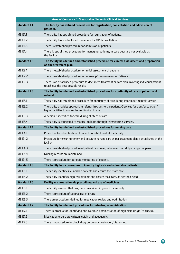|                    | Area of Concern - E: Measurable Elements Clinical Services                                                                                                 |
|--------------------|------------------------------------------------------------------------------------------------------------------------------------------------------------|
| <b>Standard E1</b> | The facility has defined procedures for registration, consultation and admission of<br>patients.                                                           |
| <b>ME E1.1</b>     | The facility has established procedure for registration of patients.                                                                                       |
| <b>ME E1.2</b>     | The facility has a established procedure for OPD consultation.                                                                                             |
| <b>ME E1.3</b>     | There is established procedure for admission of patients.                                                                                                  |
| <b>ME E1.4</b>     | There is established procedure for managing patients, in case beds are not available at<br>the facility.                                                   |
| <b>Standard E2</b> | The facility has defined and established procedure for clinical assessment and preparation<br>of the treatment plan.                                       |
| <b>ME E2.1</b>     | There is established procedure for initial assessment of patients.                                                                                         |
| <b>ME E2.2</b>     | There is established procedure for follow-up/ reassessment of Patients.                                                                                    |
| <b>ME E2.3</b>     | There is an established procedure to document treatment or care plan involving individual patient<br>to achieve the best possible results                  |
| <b>Standard E3</b> | The facility has defined and established procedures for continuity of care of patient and<br>referral.                                                     |
| <b>ME E3.1</b>     | The facility has established procedure for continuity of care during interdepartmental transfer.                                                           |
| <b>ME E3.2</b>     | The facility provides appropriate referral linkages to the patients/Services for transfer to other/<br>higher facilities to assure the continuity of care. |
| <b>ME E3.3</b>     | A person is identified for care during all steps of care.                                                                                                  |
| <b>ME E3.4</b>     | The facility is connected to medical colleges through telemedicine services.                                                                               |
| <b>Standard E4</b> | The facility has defined and established procedures for nursing care.                                                                                      |
| <b>ME E4.1</b>     | Procedure for identification of patients is established at the facility.                                                                                   |
| <b>ME E4.2</b>     | Procedure for ensuring timely and accurate nursing care as per treatment plan is established at the<br>facility.                                           |
| <b>ME E4.3</b>     | There is established procedure of patient hand over, whenever staff duty change happens.                                                                   |
| <b>ME E4.4</b>     | Nursing records are maintained.                                                                                                                            |
| <b>ME E4.5</b>     | There is procedure for periodic monitoring of patients.                                                                                                    |
| <b>Standard E5</b> | The facility has a procedure to identify high risk and vulnerable patients.                                                                                |
| <b>ME E5.1</b>     | The facility identifies vulnerable patients and ensure their safe care.                                                                                    |
| <b>ME E5.2</b>     | The facility identifies high risk patients and ensure their care, as per their need.                                                                       |
| <b>Standard E6</b> | Facility ensures rationale prescribing and use of medicines                                                                                                |
| <b>ME E6.1</b>     | The facility ensured that drugs are prescribed in generic name only.                                                                                       |
| <b>ME E6.2</b>     | There is procedure of rational use of drugs.                                                                                                               |
| <b>ME E6.3</b>     | There are procedures defined for medication review and optimization                                                                                        |
| <b>Standard E7</b> | The facility has defined procedures for safe drug administration.                                                                                          |
| <b>ME E7.1</b>     | There is process for identifying and cautious administration of high alert drugs (to check).                                                               |
| <b>ME E7.2</b>     | Medication orders are written legibly and adequately.                                                                                                      |
| <b>ME E7.3</b>     | There is a procedure to check drug before administration/dispensing.                                                                                       |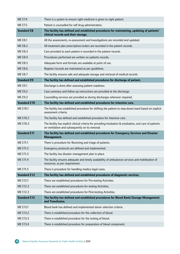| <b>ME E7.4</b>      | There is a system to ensure right medicine is given to right patient.                                                              |
|---------------------|------------------------------------------------------------------------------------------------------------------------------------|
| <b>ME E7.5</b>      | Patient is counselled for self drug administration.                                                                                |
| <b>Standard E8</b>  | The facility has defined and established procedures for maintaining, updating of patients'<br>clinical records and their storage.  |
| <b>ME E8.1</b>      | All the assessments, re-assessment and investigations are recorded and updated.                                                    |
| <b>ME E8.2</b>      | All treatment plan prescription/orders are recorded in the patient records.                                                        |
| <b>ME E8.3</b>      | Care provided to each patient is recorded in the patient records.                                                                  |
| <b>ME E8.4</b>      | Procedures performed are written on patients records.                                                                              |
| <b>ME E8.5</b>      | Adequate form and formats are available at point of use.                                                                           |
| <b>ME E8.6</b>      | Register/records are maintained as per guidelines.                                                                                 |
| <b>ME E8.7</b>      | The facility ensures safe and adequate storage and retrieval of medical records.                                                   |
| <b>Standard E9</b>  | The facility has defined and established procedures for discharge of patient.                                                      |
| <b>ME E9.1</b>      | Discharge is done after assessing patient readiness.                                                                               |
| <b>ME E9.2</b>      | Case summary and follow-up instructions are provided at the discharge.                                                             |
| <b>ME E9.3</b>      | Counselling services are provided as during discharges wherever required.                                                          |
| <b>Standard E10</b> | The facility has defined and established procedures for intensive care.                                                            |
| ME E10.1            | The facility has established procedure for shifting the patient to step-down/ward based on explicit<br>assessment criteria.        |
| ME E10.2            | The facility has defined and established procedure for intensive care.                                                             |
| ME E10.3            | The facility has explicit clinical criteria for providing intubation & extubation, and care of patients                            |
|                     | on ventilation and subsequently on its removal.                                                                                    |
| <b>Standard E11</b> | The facility has defined and established procedures for Emergency Services and Disaster<br>Management.                             |
| ME E11.1            | There is procedure for Receiving and triage of patients.                                                                           |
| ME E11.2            | Emergency protocols are defined and implemented.                                                                                   |
| ME E11.3            | The facility has disaster management plan in place.                                                                                |
| ME E11.4            | The facility ensures adequate and timely availability of ambulances services and mobilisation of<br>resources, as per requirement. |
| ME E11.5            | There is procedure for handling medico legal cases.                                                                                |
| <b>Standard E12</b> | The facility has defined and established procedures of diagnostic services.                                                        |
| ME E12.1            | There are established procedures for Pre-testing Activities.                                                                       |
| ME E12.2            | There are established procedures for testing Activities.                                                                           |
| ME E12.3            | There are established procedures for Post-testing Activities.                                                                      |
| <b>Standard E13</b> | The facility has defined and established procedures for Blood Bank/Storage Management<br>and Transfusion.                          |
| ME E13.1            | Blood bank has defined and implemented donor selection criteria.                                                                   |
| ME E13.2            | There is established procedure for the collection of blood.                                                                        |
| ME E13.3            | There is established procedure for the testing of blood.                                                                           |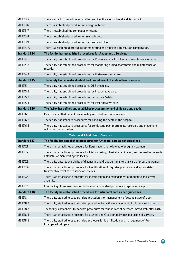| ME E13.5            | There is establish procedure for labelling and identification of blood and its product.                                                        |
|---------------------|------------------------------------------------------------------------------------------------------------------------------------------------|
| ME E13.6            | There is established procedure for storage of blood.                                                                                           |
| ME E13.7            | There is established the compatibility testing.                                                                                                |
| ME E13.8            | There is established procedure for issuing blood.                                                                                              |
| ME E13.9            | There is established procedure for transfusion of blood.                                                                                       |
| ME E13.10           | There is a established procedure for monitoring and reporting Transfusion complication.                                                        |
| <b>Standard E14</b> | The facility has established procedures for Anaesthetic Services.                                                                              |
| ME E14.1            | The facility has established procedures for Pre-anaesthetic Check up and maintenance of records.                                               |
| ME E14.2            | The facility has established procedures for monitoring during anaesthesia and maintenance of<br>records.                                       |
| ME E14.3            | The facility has established procedures for Post-anaesthesia care.                                                                             |
| <b>Standard E15</b> | The facility has defined and established procedures of Operation theatre services.                                                             |
| <b>ME E15.1</b>     | The facility has established procedures OT Scheduling.                                                                                         |
| ME E15.2            | The facility has established procedures for Preoperative care.                                                                                 |
| ME E15.3            | The facility has established procedures for Surgical Safety.                                                                                   |
| <b>ME E15.4</b>     | The facility has established procedures for Post operative care.                                                                               |
| <b>Standard E16</b> | The facility has defined and established procedures for end of life care and death.                                                            |
| ME E16.1            | Death of admitted patient is adequately recorded and communicated.                                                                             |
| ME E16.2            | The facility has standard procedures for handling the death in the hospital.                                                                   |
|                     |                                                                                                                                                |
| ME E16.3            | The facility has standard procedures for conducting post-mortem, its recording and meeting its<br>obligation under the law.                    |
|                     | <b>Maternal &amp; Child Health Services</b>                                                                                                    |
| <b>Standard E17</b> | The facility has established procedures for Antenatal care as per guidelines.                                                                  |
| <b>ME E17.1</b>     | There is an established procedure for Registration and follow up of pregnant women.                                                            |
| ME E17.2            | There is an established procedure for History taking, Physical examination, and counselling of each<br>antenatal woman, visiting the facility. |
| ME E17.3            | The facility ensures availability of diagnostic and drugs during antenatal care of pregnant women.                                             |
| ME E17.4            | There is an established procedure for identification of High risk pregnancy and appropriate<br>treatment/referral as per scope of services.    |
| ME E17.5            | There is an established procedure for identification and management of moderate and severe<br>anaemia.                                         |
| ME E17.6            | Counselling of pregnant women is done as per standard protocol and gestational age.                                                            |
| <b>Standard E18</b> | The facility has established procedures for Intranatal care as per guidelines.                                                                 |
| ME E18.1            | The facility staff adheres to standard procedures for management of second stage of labor.                                                     |
| ME E18.2            | The facility staff adheres to standard procedure for active management of third stage of labor                                                 |
| ME E18.3            | The facility staff adheres to standard procedures for routine care of newborn immediately after birth.                                         |
| <b>ME E18.4</b>     | There is an established procedure for assisted and C-section deliveries per scope of services.                                                 |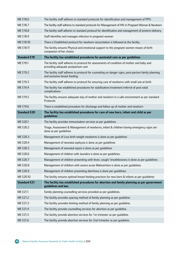| ME E18.6            | The facility staff adheres to standard protocols for identification and management of PPH.                                         |
|---------------------|------------------------------------------------------------------------------------------------------------------------------------|
| ME E18.7            | The facility staff adheres to standard protocols for Management of HIV in Pregnant Woman & Newborn                                 |
| ME E18.8            | The facility staff adheres to standard protocol for identification and management of preterm delivery.                             |
| ME E18.9            | Staff identifies and manages infection in pregnant woman                                                                           |
| ME E18.10           | There is Established protocol for newborn resuscitation is followed at the facility.                                               |
| ME E18.11           | The facility ensures Physical and emotional support to the pregnant women means of birth<br>companion of her choice                |
| <b>Standard E19</b> | The facility has established procedures for postnatal care as per guidelines                                                       |
| ME E19.1            | The facility staff adheres to protocol for assessments of condition of mother and baby and<br>providing adequate postpartum care   |
| ME E19.2            | The facility staff adheres to protocol for counseling on danger signs, post-partum family planning<br>and exclusive breast feeding |
| ME E19.3            | The facility staff adheres to protocol for ensuring care of newborns with small size at birth                                      |
| <b>ME E19.4</b>     | The facility has established procedures for stabilization/treatment/referral of post natal<br>complications                        |
| ME E19.5            | The facility ensures adequate stay of mother and newborn in a safe environment as per standard<br>Protocols                        |
| ME E19.6            | There is established procedure for discharge and follow up of mother and newborn                                                   |
| <b>Standard E20</b> | The facility has established procedures for care of new born, infant and child as per<br>guidelines                                |
| ME E20.1            | The facility provides immunization services as per guidelines                                                                      |
| ME E20.2            | Triage, Assessment & Management of newborns, infant & children having emergency signs are<br>done as per guidelines                |
|                     |                                                                                                                                    |
| ME E20.3            | Management of Low birth weight newborns is done as per guidelines                                                                  |
| ME E20.4            | Management of neonatal asphyxia is done as per guidelines                                                                          |
| <b>ME E20.5</b>     | Management of neonatal sepsis is done as per guidelines                                                                            |
| ME E20.6            | Management of children with Jaundice is done as per guidelines.                                                                    |
| ME E20.7            | Management of children presenting with fever, cough/ breathlessness is done as per guidelines                                      |
| <b>ME E20.8</b>     | Management of children with severe acute Malnutrition is done as per guidelines                                                    |
| ME E20.9            | Management of children presenting diarrhoea is done per quidelines                                                                 |
| ME E20.10           | The facility ensures optimal breast feeding practices for new born & infants as per guidelines                                     |
| <b>Standard E21</b> | The facility has established procedures for abortion and family planning as per government<br>guidelines and law.                  |
| ME E21.1            | Family planning counselling services provided as per guidelines.                                                                   |
| ME E21.2            | The facility provides spacing method of family planning as per guideline.                                                          |
| ME E21.3            | The facility provides limiting method of family planning as per guideline.                                                         |
| ME E21.4            | The facility provide counselling services for abortion as per guideline.                                                           |
| ME E21.5            | The facility provide abortion services for 1st trimester as per guideline.                                                         |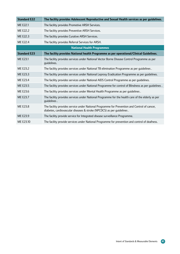| <b>Standard E22</b>               | The facility provides Adolescent Reproductive and Sexual Health services as per guidelines.                                                                            |  |
|-----------------------------------|------------------------------------------------------------------------------------------------------------------------------------------------------------------------|--|
| ME E22.1                          | The facility provides Promotive ARSH Services.                                                                                                                         |  |
| ME E22.2                          | The facility provides Preventive ARSH Services.                                                                                                                        |  |
| ME E22.3                          | The facility provides Curative ARSH Services.                                                                                                                          |  |
| ME E22.4                          | The facility provides Referral Services for ARSH.                                                                                                                      |  |
| <b>National Health Programmes</b> |                                                                                                                                                                        |  |
| <b>Standard E23</b>               | The facility provides National health Programme as per operational/Clinical Guidelines.                                                                                |  |
| ME E23.1                          | The facility provides services under National Vector Borne Disease Control Programme as per<br>quidelines.                                                             |  |
| ME E23.2                          | The facility provides services under National TB elimination Programme as per guidelines.                                                                              |  |
| ME E23.3                          | The facility provides services under National Leprosy Eradication Programme as per guidelines.                                                                         |  |
| ME E23.4                          | The facility provides services under National AIDS Control Programme as per guidelines.                                                                                |  |
| ME E23.5                          | The facility provides services under National Programme for control of Blindness as per quidelines.                                                                    |  |
| ME E23.6                          | The facility provides services under Mental Health Programme as per guidelines.                                                                                        |  |
| ME E23.7                          | The facility provides services under National Programme for the health care of the elderly as per<br>guidelines.                                                       |  |
| ME E23.8                          | The facility provides service under National Programme for Prevention and Control of cancer,<br>diabetes, cardiovascular diseases & stroke (NPCDCS) as per guidelines. |  |
| ME E23.9                          | The facility provide service for Integrated disease surveillance Programme.                                                                                            |  |
| ME E23.10                         | The facility provide services under National Programme for prevention and control of deafness.                                                                         |  |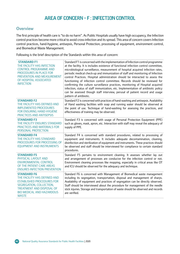# Area of concern - F : Infection Control

### **Overview**

The first principle of health care is "to do no harm". As Public Hospitals usually have high occupancy, the Infection control practices become more critical to avoid cross-infection and its spread. This area of concern covers Infection control practices, hand-hygiene, antisepsis, Personal Protection, processing of equipment, environment control, and Biomedical Waste Management.

Following is the brief description of the Standards within this area of concern:

| <b>STANDARD F1</b><br>THE FACILITY HAS INFECTION<br><b>CONTROL PROGRAMME AND</b><br>PROCEDURES IN PLACE FOR<br>PREVENTION AND MEASUREMENT<br>OF HOSPITAL ASSOCIATED<br><b>INFECTION</b>              | Standard F1 is concerned with the implementation of Infection control programme<br>at the facility. It is includes existence of functional infection control committee,<br>microbiological surveillance, measurement of hospital acquired infection rates,<br>periodic medical check-up and immunization of staff and monitoring of Infection<br>control Practices. Hospital administration should be interacted to assess the<br>functioning of infection control committee. Records should be reviewed for<br>confirming the culture surveillance practices, monitoring of Hospital acquired<br>infection, status of staff immunization, etc. Implementation of antibiotic policy<br>can be assessed though staff interview, perusal of patient record and usage<br>pattern of antibiotic. |
|------------------------------------------------------------------------------------------------------------------------------------------------------------------------------------------------------|----------------------------------------------------------------------------------------------------------------------------------------------------------------------------------------------------------------------------------------------------------------------------------------------------------------------------------------------------------------------------------------------------------------------------------------------------------------------------------------------------------------------------------------------------------------------------------------------------------------------------------------------------------------------------------------------------------------------------------------------------------------------------------------------|
| <b>STANDARD F2</b><br>THE FACILITY HAS DEFINED AND<br><b>IMPLEMENTED PROCEDURES</b><br>FOR ENSURING HAND HYGIENE<br>PRACTICES AND ANTISEPSIS                                                         | Standard F2 is concerned with practices of hand-washing and antisepsis. Availability<br>of Hand washing facilities with soap and running water should be observed at<br>the point of use. Technique of hand-washing for assessing the practices, and<br>effectiveness of training may be observed.                                                                                                                                                                                                                                                                                                                                                                                                                                                                                           |
| <b>STANDARD F3</b><br>THE FACILITY ENSURES STANDARD<br>PRACTICES AND MATERIALS FOR<br>PERSONAL PROTECTION                                                                                            | Standard F3 is concerned with usage of Personal Protection Equipment (PPE)<br>such as gloves, mask, apron, etc. Interaction with staff may reveal the adequacy of<br>supply of PPE.                                                                                                                                                                                                                                                                                                                                                                                                                                                                                                                                                                                                          |
| <b>STANDARD F4</b><br>THE FACILITY HAS STANDARD<br>PROCEDURES FOR PROCESSING OF<br><b>EQUIPMENT AND INSTRUMENTS</b>                                                                                  | Standard F4 is concerned with standard procedures, related to processing of<br>equipment and instruments. It includes adequate decontamination, cleaning,<br>disinfection and sterilization of equipment and instruments. These practices should<br>be observed and staff should be interviewed for compliance to certain standard<br>procedures.                                                                                                                                                                                                                                                                                                                                                                                                                                            |
| <b>STANDARD F5</b><br>PHYSICAL LAYOUT AND<br><b>ENVIRONMENTAL CONTROL</b><br>OF THE PATIENT CARE AREAS<br><b>ENSURES INFECTION PREVENTION</b>                                                        | Standard F5 pertains to environment cleaning. It assesses whether lay out<br>and arrangement of processes are conducive for the infection control or not.<br>Environment cleaning processes like mopping, especially in critical areas like OT<br>and ICU should be observed for the adequacy and technique.                                                                                                                                                                                                                                                                                                                                                                                                                                                                                 |
| <b>STANDARD F6</b><br>THE FACILITY HAS DEFINED AND<br><b>ESTABLISHED PROCEDURES FOR</b><br>SEGREGATION, COLLECTION,<br>TREATMENT AND DISPOSAL OF<br><b>BIO MEDICAL AND HAZARDOUS</b><br><b>WASTE</b> | Standard F6 is concerned with Management of Biomedical waste management<br>including its segregation, transportation, disposal and management of sharps.<br>Availability of equipment and practices of segregation can be directly observed.<br>Staff should be interviewed about the procedure for management of the needle<br>stick injuries. Storage and transportation of waste should be observed and records<br>are verified.                                                                                                                                                                                                                                                                                                                                                          |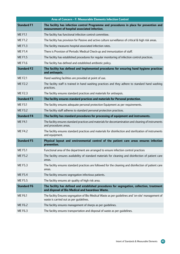|                    | Area of Concern - F: Measurable Elements Infection Control                                                                                     |
|--------------------|------------------------------------------------------------------------------------------------------------------------------------------------|
| <b>Standard F1</b> | The facility has infection control Programme and procedures in place for prevention and<br>measurement of hospital associated infection.       |
| <b>ME F1.1</b>     | The facility has functional infection control committee.                                                                                       |
| <b>ME F1.2</b>     | The facility has provision for Passive and active culture surveillance of critical & high risk areas.                                          |
| <b>MEF1.3</b>      | The facility measures hospital associated infection rates.                                                                                     |
| <b>MEF1.4</b>      | There is Provision of Periodic Medical Check-up and immunization of staff.                                                                     |
| <b>MEF1.5</b>      | The facility has established procedures for regular monitoring of infection control practices.                                                 |
| <b>MEF1.6</b>      | The facility has defined and established antibiotic policy.                                                                                    |
| <b>Standard F2</b> | The facility has defined and Implemented procedures for ensuring hand hygiene practices<br>and antisepsis.                                     |
| <b>MFF2.1</b>      | Hand washing facilities are provided at point of use.                                                                                          |
| <b>ME F2.2</b>     | The facility staff is trained in hand washing practices and they adhere to standard hand washing<br>practices.                                 |
| <b>MEF2.3</b>      | The facility ensures standard practices and materials for antisepsis.                                                                          |
| <b>Standard F3</b> | The facility ensures standard practices and materials for Personal protection.                                                                 |
| <b>MEF3.1</b>      | The facility ensures adequate personal protection Equipment as per requirements.                                                               |
| <b>MEF3.2</b>      | The facility staff adheres to standard personal protection practices.                                                                          |
| <b>Standard F4</b> | The facility has standard procedures for processing of equipment and instruments.                                                              |
| <b>ME F4.1</b>     | The facility ensures standard practices and materials for decontamination and cleaning of instruments<br>and procedures areas.                 |
| <b>ME F4.2</b>     | The facility ensures standard practices and materials for disinfection and sterilization of instruments<br>and equipment.                      |
| <b>Standard F5</b> | Physical layout and environmental control of the patient care areas ensures infection<br>prevention.                                           |
| <b>ME F5.1</b>     | Functional area of the department are arranged to ensure infection control practices                                                           |
| <b>ME F5.2</b>     | The facility ensures availability of standard materials for cleaning and disinfection of patient care<br>areas.                                |
| <b>MEF5.3</b>      | The facility ensures standard practices are followed for the cleaning and disinfection of patient care<br>areas.                               |
| <b>ME F5.4</b>     | The facility ensures segregation infectious patients.                                                                                          |
| <b>MEF5.5</b>      | The facility ensures air quality of high risk area.                                                                                            |
| <b>Standard F6</b> | The facility has defined and established procedures for segregation, collection, treatment<br>and disposal of Bio Medical and hazardous Waste. |
| <b>ME F6.1</b>     | The facility Ensures segregation of Bio Medical Waste as per guidelines and 'on-site' management of<br>waste is carried out as per quidelines. |
| <b>ME F6.2</b>     | The facility ensures management of sharps as per guidelines.                                                                                   |
| ME F6.3            | The facility ensures transportation and disposal of waste as per guidelines.                                                                   |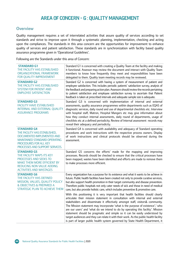## Area of concern - G : Quality Management

### **Overview**

Quality management requires a set of interrelated activities that assure quality of services according to set standards and strive to improve upon it through a systematic planning, implementation, checking and acting upon the compliances. The standards in this area concern are the opportunities for improvement to enhance quality of services and patient satisfaction. These standards are in synchronization with facility based quality assurance programme given in 'Operational Guidelines'.

Following are the Standards under this area of Concern:

| <b>STANDARD G1</b><br>THE FACILITY HAS ESTABLISHED<br>ORGANIZATIONAL FRAMEWORK<br>FOR QUALITY IMPROVEMENT                                                                       | Standard G1 is concerned with creating a Quality Team at the facility and making<br>it functional. Assessor may review the document and interact with Quality Team<br>members to know how frequently they meet and responsibilities have been<br>delegated to them. Quality team meeting records may be reviewed.                                                                                                                                                                                                                                                                                                                                                                    |
|---------------------------------------------------------------------------------------------------------------------------------------------------------------------------------|--------------------------------------------------------------------------------------------------------------------------------------------------------------------------------------------------------------------------------------------------------------------------------------------------------------------------------------------------------------------------------------------------------------------------------------------------------------------------------------------------------------------------------------------------------------------------------------------------------------------------------------------------------------------------------------|
| <b>STANDARD G2</b><br>THE FACILITY HAS ESTABLISHED<br><b>SYSTEM FOR PATIENT AND</b><br><b>EMPLOYEE SATISFACTION</b>                                                             | Standard G2 is concerned with having a system of measurement of patient and<br>employee satisfaction. This includes periodic patients' satisfaction survey, analysis of<br>the feedback and preparing action plan. Assessors should review the records pertaining<br>to patient satisfaction and employee satisfaction survey to ascertain that Patient<br>feedback is taken at prescribed intervals and adequate sample size is adequate.                                                                                                                                                                                                                                           |
| <b>STANDARD G3</b><br><b>FACILITY HAVE ESTABLISHED</b><br>INTERNAL AND EXTERNAL QUALITY<br><b>ASSURANCE PROGRAMS</b>                                                            | Standard G3 is concerned with implementation of internal and external<br>assessments, quality assurance programmes within departments such as EQAS of<br>diagnostic services, daily round and use of departmental checklists etc. Interview<br>with hospital staff, Matron, Hospital Mangers etc may give information about<br>how they conduct internal assessments, daily round of departments, usage of<br>checklists etc at a defined periodicity. Review of Internal assessment records may<br>reveal their adequacy and periodicity.                                                                                                                                           |
| <b>STANDARD G4</b><br>THE FACILITY HAS ESTABLISHED,<br>DOCUMENTED IMPLEMENTED AND<br>MAINTAINED STANDARD OPERATING<br>PROCEDURES FOR ALL KEY<br>PROCESSES AND SUPPORT SERVICES. | Standard G4 is concerned with availability and adequacy of Standard operating<br>procedures and work instructions with the respective process owners. Display<br>of work instructions and clinical protocols should be observed during the<br>assessment.                                                                                                                                                                                                                                                                                                                                                                                                                            |
| <b>STANDARD G5</b><br>THE FACILITY MAPS ITS KEY<br>PROCESSES AND SEEKS TO<br><b>MAKE THEM MORE EFFICIENT BY</b><br>REDUCING NON VALUE ADDING<br><b>ACTIVITIES AND WASTAGES</b>  | Standard G5 concerns the efforts' made for the mapping and improving<br>processes. Records should be checked to ensure that the critical processes have<br>been mapped, wastes have been identified and efforts are made to remove them<br>to make processes more efficient.                                                                                                                                                                                                                                                                                                                                                                                                         |
| <b>STANDARD G6</b><br>THE FACILITY HAS DEFINED<br>MISSION, VALUES, QUALITY POLICY<br>& OBJECTIVES & PREPARED A<br>STRATEGIC PLAN TO ACHIEVE THEM                                | Every organization has a purpose for its existence and what it wants to be achieve in<br>future. Public health facilities have been created not only to provide curative services,<br>but also support health promotion in their target community and disease prevention.<br>Therefore public hospitals not only cater needs of sick and those in need of medical<br>care, but also provide holistic care, which includes preventive & promotive care.                                                                                                                                                                                                                               |
|                                                                                                                                                                                 | With this positioning it is very important that health facilities should clearly<br>articulate their mission statement in consultation with internal and external<br>stakeholders and disseminate it effectively amongst staff, visitors& community.<br>The Mission statement may incorporate 'what is the purpose of existence',' who<br>are our users' and 'what do we intend to do by operating this facility'. Mission<br>statement should be pragmatic and simple so it can be easily understood by<br>target audiences and they can relate it with their work. As the public health facility<br>is part of larger public health system governed by State Health Department, it |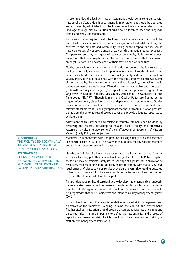|                                                                                                                                                | is recommended the facility's mission statement should be in congruence with<br>mission of the State's Health department. Mission statement should be approved<br>and endorsed by administration of facility and effectively communicated in local<br>language through display. Caution should also be taken to keep the language<br>simple and easily understandable.                                                                                                                                                                                                                                                                                                                                                                                                                                                                                                                                                                                                                                                                                                                                                                          |
|------------------------------------------------------------------------------------------------------------------------------------------------|-------------------------------------------------------------------------------------------------------------------------------------------------------------------------------------------------------------------------------------------------------------------------------------------------------------------------------------------------------------------------------------------------------------------------------------------------------------------------------------------------------------------------------------------------------------------------------------------------------------------------------------------------------------------------------------------------------------------------------------------------------------------------------------------------------------------------------------------------------------------------------------------------------------------------------------------------------------------------------------------------------------------------------------------------------------------------------------------------------------------------------------------------|
|                                                                                                                                                | This standard also requires health facilities to define core value that should be<br>part of all policies & procedures, and are always considered while realizing the<br>services to the patients and community. Being public hospital, facility should<br>have core values of Honesty, transparency, Non-discrimination, ethical practices,<br>Competence, empathy and goodwill towards community. It is also of utmost<br>importance that how hospital administration plan and promote that these values<br>amongst its staff so it becomes part of their attitude and work culture.                                                                                                                                                                                                                                                                                                                                                                                                                                                                                                                                                          |
|                                                                                                                                                | Quality policy is overall intension and direction of an organization related to<br>quality as formally expressed by hospital administration. Hospital should define<br>what they intend to achieve in terms of quality, safety and patient satisfaction.<br>Quality Policy is should be aligned with the mission statement to achieve overall<br>aim of the facility. To achieve the mission and quality policy, the facility should<br>define commensurate objectives. Objectives are more tangible and short-term<br>goals, with each objective targeting one specific issue or aspiration of organization.<br>Objectives should be Specific, Measurable, Attainable, Relevant/realistic and<br>Time-bound (SMART). Though Mission and Quality Policy are framed at the<br>organizational level, objectives can be at departmental or activity level. Quality<br>Policy and objectives should also be disseminated effectively to staff and other<br>relevant stakeholders. It is equally important that hospital administration prepares<br>a time bound plan to achieve these objectives and provide adequate resources to<br>achieve them. |
|                                                                                                                                                | Assessment of this standard and related measurable elements can be done by<br>reviewing the records pertaining to mission, quality policy and objectives.<br>Assessors may also interview some of the staff about their awareness of Mission,<br>Values, Quality Policy and objectives.                                                                                                                                                                                                                                                                                                                                                                                                                                                                                                                                                                                                                                                                                                                                                                                                                                                         |
| <b>STANDARD G7</b><br>THE FACILITY SEEKS CONTINUALLY<br><b>IMPROVEMENT BY PRACTICING</b><br><b>QUALITY METHOD AND TOOLS.</b>                   | Standard G8 is concerned with the practice of using Quality tools and methods<br>like control charts, 5-'S', etc. The Assessor should look for any specific methods<br>and tools practiced for quality improvement.                                                                                                                                                                                                                                                                                                                                                                                                                                                                                                                                                                                                                                                                                                                                                                                                                                                                                                                             |
| <b>STANDARD G8</b><br>THE FACILITY HAS DEFINED,<br>APPROVED AND COMMUNICATED<br>RISK MANAGEMENT FRAMEWORK<br>FOR EXISTING AND POTENTIAL RISKS. | Healthcare facilities of all level are exposed to risks from Internal and External<br>sources, which may put attainment of Quality objective at a risk. In Public hospitals<br>these risks may be patients' safety issues, shortage of supplies, fall in allocation of<br>resources, man-made or natural disaster, failure to comply with statuary & legal<br>requirements, Violence towards service providers or even risk of getting outdated<br>or becoming obsolete. Hospitals are complex organizations and just reacting on<br>occurred threats may not alone be helpful.                                                                                                                                                                                                                                                                                                                                                                                                                                                                                                                                                                 |
|                                                                                                                                                | This standard requires healthcare facilities to develop, implement and continuously<br>improve a risk management framework considering both internal and external<br>threats. Risk Management framework should not be isolated exercise. It should<br>be integrated with facilitie's objectives and intended Quality Management System<br>(QMS).                                                                                                                                                                                                                                                                                                                                                                                                                                                                                                                                                                                                                                                                                                                                                                                                |
|                                                                                                                                                | In this direction, the initial step is to define scope of rick management and<br>objectives of the framework keeping in mind the context and environment.<br>The hospital administration should prepare a comprehensive list of current and<br>perceived risks. It is also important to define the responsibility and process of<br>reporting and managing risks. Facility should also have provision for training of<br>staff on risk management framework.                                                                                                                                                                                                                                                                                                                                                                                                                                                                                                                                                                                                                                                                                    |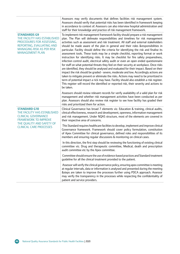|                                                                                                                                                                             | Assessors may verify documents that defines facilities risk management system.<br>Assessors should verify that potential risks has been identified in framework keeping<br>in accordance to context of. Assessors can also interview hospital administration and<br>staff for their knowledge and practice of risk management framework.                                                                                                                                                                                                                                                                                                                                                                                                                                                                                                                                                                                                                                                                                                                                                                                                                                                                                                                                                           |
|-----------------------------------------------------------------------------------------------------------------------------------------------------------------------------|----------------------------------------------------------------------------------------------------------------------------------------------------------------------------------------------------------------------------------------------------------------------------------------------------------------------------------------------------------------------------------------------------------------------------------------------------------------------------------------------------------------------------------------------------------------------------------------------------------------------------------------------------------------------------------------------------------------------------------------------------------------------------------------------------------------------------------------------------------------------------------------------------------------------------------------------------------------------------------------------------------------------------------------------------------------------------------------------------------------------------------------------------------------------------------------------------------------------------------------------------------------------------------------------------|
| <b>STANDARDS G9</b><br>THE FACILITY HAS ESTABLISHED<br>PROCEDURES FOR ASSESSING,<br>REPORTING, EVALUATING AND<br><b>MANAGING RISK AS PER RISK</b><br><b>MANAGEMENT PLAN</b> | To implement risk management framework facility should prepare a risk management<br>plan. The Plan will delineate responsibilities and timelines for risk management<br>activities such as assessment and risk treatment. All staff and external stakeholders<br>should be made aware of the plan in general and their roles &responsibilities in<br>particular. Facility should define the criteria for identifying the risk and finalise its<br>assessment tools. These tools may be a simple checklist, reporting format or work<br>instruction for identifying risks. It may be checklist for fire safety preparedness,<br>infection control audit, electrical safety audit or even an open ended questionnaire<br>for staff on what potential threats they feel on their security at workplace. Once risks<br>are identified, they should be analysed and evaluated for their impact. Based on their<br>impact the risk should be graded - severe, moderate and low. Accordingly actions are<br>taken to mitigate prevent or eliminate the risks. Actions may need to be prioritized in<br>term of potential impact a rick may have. Facility should also establish a risk register.<br>This register will record the identified or reported risk, their severity and actions to<br>be taken. |
|                                                                                                                                                                             | Assessors should review relevant records for verify availability of a valid plan for risk<br>management and whether risk management activities have been conducted as per<br>plan. Assessors should also review risk register to see how facility has graded their<br>risks and prioritized them for action.                                                                                                                                                                                                                                                                                                                                                                                                                                                                                                                                                                                                                                                                                                                                                                                                                                                                                                                                                                                       |
| <b>STANDARD G10</b><br>THE FACILITY HAS ESTABLISHED<br><b>CLINICAL GOVERNANCE</b><br><b>FRAMEWORK TO IMPROVE</b>                                                            | Clinical Governance has broad 7 elements viz. Education & training, clinical audits,<br>clinical effectiveness, research and development, openness, information management<br>and risk management. Under NQAS structure, most of the elements are covered in<br>their respective area of concerns.                                                                                                                                                                                                                                                                                                                                                                                                                                                                                                                                                                                                                                                                                                                                                                                                                                                                                                                                                                                                 |
| THE QUALITY AND SAFETY OF<br><b>CLINICAL CARE PROCESSES</b>                                                                                                                 | This Standard requires healthcare facilities to develop, implement and improve clinical<br>Governance framework. Framework should cover policy formulation, constitution<br>of Apex Committee for clinical governance, defined roles and responsibilities of its<br>members and ensuring regular discussions & monitoring on clinical cases.                                                                                                                                                                                                                                                                                                                                                                                                                                                                                                                                                                                                                                                                                                                                                                                                                                                                                                                                                       |
|                                                                                                                                                                             | In this direction, the first step should be reviewing the functioning of existing clinical<br>committee viz. Drug and therapeutic committee, Medical, death and prescription<br>audit committee etc by the Apex committee.                                                                                                                                                                                                                                                                                                                                                                                                                                                                                                                                                                                                                                                                                                                                                                                                                                                                                                                                                                                                                                                                         |
|                                                                                                                                                                             | Committee should ensure the use of evidence-based practices and Standard treatment<br>quideline for all the clinical treatment provided to the patient.                                                                                                                                                                                                                                                                                                                                                                                                                                                                                                                                                                                                                                                                                                                                                                                                                                                                                                                                                                                                                                                                                                                                            |
|                                                                                                                                                                             | Assessor will verify the clinical governance policy, ensuring apex committee is meeting<br>at regular intervals, data or information is analysed and presented during the meeting<br>&steps are taken to improve the processes further using PDCA approach. Assessor<br>may verify the transparency in the processes while respecting the confidentiality of<br>patient and service providers.                                                                                                                                                                                                                                                                                                                                                                                                                                                                                                                                                                                                                                                                                                                                                                                                                                                                                                     |

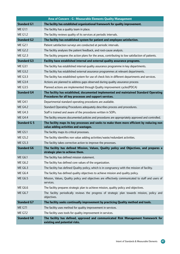|                     | Area of Concern - G : Measurable Elements Quality Management                                                                                     |
|---------------------|--------------------------------------------------------------------------------------------------------------------------------------------------|
| <b>Standard G1</b>  | The facility has established organizational framework for quality improvement.                                                                   |
| <b>ME G1.1</b>      | The facility has a quality team in place.                                                                                                        |
| <b>ME G1.2</b>      | The facility reviews quality of its services at periodic intervals.                                                                              |
| <b>Standard G2</b>  | The facility has established system for patient and employee satisfaction.                                                                       |
| <b>ME G2.1</b>      | Patient satisfaction surveys are conducted at periodic intervals.                                                                                |
| <b>ME G2.2</b>      | The facility analyses the patient feedback, and root-cause analysis.                                                                             |
| <b>ME G2.3</b>      | The facility prepares the action plans for the areas, contributing to low satisfaction of patients.                                              |
| <b>Standard G3</b>  | Facility have established internal and external quality assurance programs.                                                                      |
| <b>ME G3.1</b>      | The facility has established internal quality assurance programme in key departments.                                                            |
| <b>ME G3.2</b>      | The facility has established external assurance programmes at relevant departments.                                                              |
| <b>ME G3.3</b>      | The facility has established system for use of check lists in different departments and services.                                                |
| <b>ME G3.4</b>      | Actions are planned to address gaps observed during quality assurance process                                                                    |
| <b>ME G3.5</b>      | Planned actions are implemented through Quality improvement cycles(PDCA)                                                                         |
| <b>Standard G4</b>  | The facility has established, documented implemented and maintained Standard Operating<br>Procedures for all key processes and support services. |
| <b>ME G4.1</b>      | Departmental standard operating procedures are available.                                                                                        |
| <b>ME G4.2</b>      | Standard Operating Procedures adequately describes process and procedures.                                                                       |
| <b>ME G4.3</b>      | Staff is trained and aware of the procedures written in SOPs.                                                                                    |
| <b>ME G4.4</b>      | The facility ensures documented policies and procedures are appropriately approved and controlled.                                               |
| <b>Standard G 5</b> | The facility maps its key processes and seeks to make them more efficient by reducing non                                                        |
|                     | value adding activities and wastages.                                                                                                            |
|                     |                                                                                                                                                  |
| <b>ME G5.1</b>      | The facility maps its critical processes.                                                                                                        |
| ME G5.2             | The facility identifies non value adding activities/waste/redundant activities.                                                                  |
| <b>ME G5.3</b>      | The facility takes corrective action to improve the processes.                                                                                   |
| <b>Standard G6</b>  | The facility has defined Mission, Values, Quality policy and Objectives, and prepares a                                                          |
| <b>ME G6.1</b>      | strategic plan to achieve them.<br>The facility has defined mission statement.                                                                   |
| <b>ME G6.2</b>      | The facility has defined core values of the organization.                                                                                        |
| <b>ME G6.3</b>      | The facility has defined Quality policy, which is in congruency with the mission of facility.                                                    |
| <b>ME G6.4</b>      | The facility has defined quality objectives to achieve mission and quality policy.                                                               |
| <b>ME G6.5</b>      | Mission, Values, Quality policy and objectives are effectively communicated to staff and users of<br>services.                                   |
| <b>ME G6.6</b>      | The facility prepares strategic plan to achieve mission, quality policy and objectives.                                                          |
| <b>ME G6.7</b>      | The facility periodically reviews the progress of strategic plan towards mission, policy and<br>objectives.                                      |
| <b>Standard G7</b>  | The facility seeks continually improvement by practicing Quality method and tools.                                                               |
| <b>ME G7.1</b>      | The facility uses method for quality improvement in services.                                                                                    |
| <b>ME G7.2</b>      | The facility uses tools for quality improvement in services.                                                                                     |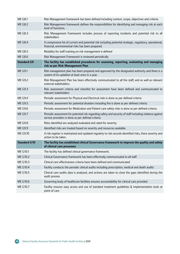| <b>ME G8.1</b>      | Risk Management framework has been defined including context, scope, objectives and criteria.                                                                 |
|---------------------|---------------------------------------------------------------------------------------------------------------------------------------------------------------|
| <b>ME G8.2</b>      | Risk Management framework defines the responsibilities for identifying and managing risk at each<br>level of functions.                                       |
| <b>ME G8.3</b>      | Risk Management Framework includes process of reporting incidents and potential risk to all<br>stakeholders                                                   |
| <b>ME G8.4</b>      | A compressive list of current and potential risk including potential strategic, regulatory, operational,<br>financial, environmental risks has been prepared. |
| <b>ME G8.5</b>      | Modality for staff training on risk management is defined                                                                                                     |
| <b>ME G8.6</b>      | Risk Management Framework is reviewed periodically                                                                                                            |
| <b>Standard G9</b>  | The facility has established procedures for assessing, reporting, evaluating and managing<br>risk as per Risk Management Plan                                 |
| <b>ME G9.1</b>      | Risk management plan has been prepared and approved by the designated authority and there is a<br>system of its updation at least once in a year.             |
| <b>ME G9.2</b>      | Risk Management Plan has been effectively communicated to all the staff, and as well as relevant<br>external stakeholders.                                    |
| <b>ME G9.3</b>      | Risk assessment criteria and checklist for assessment have been defined and communicated to<br>relevant stakeholders                                          |
| <b>ME G9.4</b>      | Periodic assessment for Physical and Electrical risks is done as per defined criteria                                                                         |
| <b>ME G9.5</b>      | Periodic assessment for potential disasters including fire is done as per defined criteria                                                                    |
| <b>ME G9.6</b>      | Periodic assessment for Medication and Patient care safety risks is done as per defined criteria.                                                             |
| <b>ME G9.7</b>      | Periodic assessment for potential risk regarding safety and security of staff including violence against<br>service providers is done as per defined criteria |
| <b>ME G9.8</b>      | Risks identified are analyzed evaluated and rated for severity.                                                                                               |
| <b>ME G9.9</b>      | Identified risks are treated based on severity and resources available.                                                                                       |
| ME G9.10            | A risk register is maintained and updated regularly to risk records identified risks, there severity and<br>action to be taken.                               |
| <b>Standard G10</b> | The facility has established clinical Governance framework to improve the quality and safety<br>of clinical care processes                                    |
| ME G10.1            | The facility has defined clinical governance framework.                                                                                                       |
| ME G10.2            | Clinical Governance framework has been effectively communicated to all staff                                                                                  |
| ME G10.3            | Clinical care effectiveness criteria have been defined and communicated                                                                                       |
| <b>ME G10.4</b>     | Facility conducts the periodic clinical audits including prescription, medical and death audits                                                               |
| ME G10.5            | Clinical care audits data is analysed, and actions are taken to close the gaps identified during the<br>audit process                                         |
| <b>ME G10.6</b>     | Governing body of healthcare facilities ensures accountability for clinical care provided                                                                     |
| ME G10.7            | Facility ensures easy access and use of standard treatment guidelines & implementation tools at<br>point of care                                              |

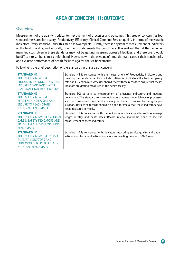# Area of Concern - H : Outcome

### **Overview**

Measurement of the quality is critical to improvement of processes and outcomes. This area of concern has four standard measures for quality- Productivity, Efficiency, Clinical Care and Service quality in terms of measurable indicators. Every standard under this area has two aspects – Firstly, there is a system of measurement of indicators at the health facility; and secondly, how the hospital meets the benchmark. It is realised that at the beginning many indictors given in these standards may not be getting measured across all facilities, and therefore it would be difficult to set benchmark beforehand. However, with the passage of time, the state can set their benchmarks, and evaluate performance of health facilities against the set benchmarks.

Following is the brief description of the Standards in this area of concern:

| <b>STANDARD H1</b><br>THE FACILITY MEASURES<br>PRODUCTIVITY INDICATORS AND<br><b>ENSURES COMPLIANCE WITH</b><br><b>STATE/NATIONAL BENCHMARKS</b>       | Standard H1 is concerned with the measurement of Productivity indicators and<br>meeting the benchmarks. This includes utilization indicators like bed occupancy<br>rate and C-Section rate. Assessor should review these records to ensure that theses<br>indictors are getting measured at the health facility.                                           |
|--------------------------------------------------------------------------------------------------------------------------------------------------------|------------------------------------------------------------------------------------------------------------------------------------------------------------------------------------------------------------------------------------------------------------------------------------------------------------------------------------------------------------|
| <b>STANDARD H2</b><br>THE FACILITY MEASURES<br><b>EFFICIENCY INDICATORS AND</b><br><b>ENSURE TO REACH STATE/</b><br>NATIONAL BENCHMARK                 | Standard H2 pertains to measurement of efficiency indicators and meeting<br>benchmark. This standard contains indicators that measure efficiency of processes,<br>such as turnaround time, and efficiency of human resource like surgery per<br>surgeon. Review of records should be done to assess that these indicators have<br>been measured correctly. |
| <b>STANDARD H3</b><br>THE FACILITY MEASURES CLINICAL<br><b>CARE &amp; SAFETY INDICATORS AND</b><br>TRIES TO REACH STATE/NATIONAL<br><b>BENCHMARK</b>   | Standard H3 is concerned with the indicators of clinical quality, such as average<br>length of stay and death rates. Record review should be done to see the<br>measurement of these indicators.                                                                                                                                                           |
| <b>STANDARD H4</b><br>THE FACILITY MEASURES SERVICE<br><b>QUALITY INDICATORS AND</b><br><b>ENDEAVOURS TO REACH STATE/</b><br><b>NATIONAL BENCHMARK</b> | Standard H4 is concerned with indicators measuring service quality and patient<br>satisfaction like Patient satisfaction score and waiting time and LAMA rate.                                                                                                                                                                                             |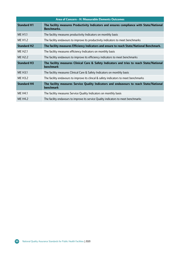| Area of Concern - H: Measurable Elements Outcomes |                                                                                                                |
|---------------------------------------------------|----------------------------------------------------------------------------------------------------------------|
| <b>Standard H1</b>                                | The facility measures Productivity Indicators and ensures compliance with State/National<br><b>Benchmarks.</b> |
| <b>ME H1.1</b>                                    | The facility measures productivity Indicators on monthly basis                                                 |
| ME H <sub>1.2</sub>                               | The facility endavours to improve its productivity indicators to meet benchmarks                               |
| <b>Standard H2</b>                                | The facility measures Efficiency Indicators and ensure to reach State/National Benchmark.                      |
| ME H <sub>2.1</sub>                               | The facility measures efficiency Indicators on monthly basis                                                   |
| ME H <sub>2</sub> .2                              | The facility endavours to improve its efficiency indicators to meet benchmarks                                 |
| <b>Standard H3</b>                                | The facility measures Clinical Care & Safety Indicators and tries to reach State/National<br><b>benchmark</b>  |
| <b>ME H3.1</b>                                    | The facility measures Clinical Care & Safety Indicators on monthly basis                                       |
| ME H3.2                                           | The facility endavours to improve its clincal & safety indicators to meet benchmarks                           |
| <b>Standard H4</b>                                | The facility measures Service Quality Indicators and endeavours to reach State/National<br><b>benchmark</b>    |
| <b>ME H4.1</b>                                    | The facility measures Service Quality Indicators on monthly basis                                              |
| ME H4.2                                           | The facility endavours to improve its service Quality indicators to meet benchmarks                            |

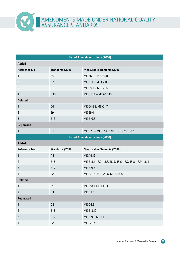Amendments made under National Quality ASSURANCE ST.

 $\infty$ 

| <b>List of Amendments done (2016)</b> |                  |                                                           |  |
|---------------------------------------|------------------|-----------------------------------------------------------|--|
| <b>Added</b>                          |                  |                                                           |  |
| <b>Reference No</b>                   | Standards (2016) | <b>Measurable Elements (2016)</b>                         |  |
| 1                                     | <b>B6</b>        | ME B6.1 - ME B6.11                                        |  |
| $\overline{2}$                        | C <sub>7</sub>   | ME C7.1 - ME C7.11                                        |  |
| 3                                     | G <sub>9</sub>   | ME G9.1 - ME G9.6                                         |  |
| $\overline{4}$                        | G10              | ME G10.1 - ME G10.10                                      |  |
| <b>Deleted</b>                        |                  |                                                           |  |
| $\mathbf{1}$                          | C <sub>4</sub>   | ME C4.6 & ME C4.7                                         |  |
| $\overline{2}$                        | E9               | <b>ME E9.4</b>                                            |  |
| 3                                     | E16              | ME E16.3                                                  |  |
| <b>Rephrased</b>                      |                  |                                                           |  |
| $\mathbf{1}$                          | G7               | ME G7.1 - ME G7.4 to ME G7.1 - ME G7.7                    |  |
|                                       |                  | <b>List of Amendments done (2018)</b>                     |  |
| <b>Added</b>                          |                  |                                                           |  |
| <b>Reference No</b>                   | Standards (2018) | <b>Measurable Elements (2018)</b>                         |  |
| 1                                     | A4               | ME A4.12                                                  |  |
| $\overline{c}$                        | E18              | ME E18.1, 18.2, 18.3, 18.5, 18.6, 18.7, 18.8, 18.9, 18.11 |  |
| 3                                     | E19              | ME E19.3                                                  |  |
| $\overline{4}$                        | E20              | ME E20.5, ME E20.6, ME E20.10                             |  |
| <b>Deleted</b>                        |                  |                                                           |  |
| 1                                     | E18              | ME E18.1, ME E18.3                                        |  |
| $\overline{c}$                        | H1               | <b>ME H1.3</b>                                            |  |
| Rephrased                             |                  |                                                           |  |
| $\mathbf{1}$                          | G <sub>6</sub>   | <b>ME G6.5</b>                                            |  |
| $\overline{c}$                        | E18              | ME E18.10                                                 |  |
| $\mathbf{3}$                          | E19              | ME E19.1, ME E19.3                                        |  |
| $\overline{4}$                        | E20              | ME E20.4                                                  |  |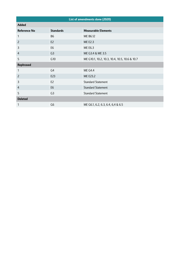| List of amendments done (2020) |                  |                                               |  |
|--------------------------------|------------------|-----------------------------------------------|--|
| <b>Added</b>                   |                  |                                               |  |
| <b>Reference No</b>            | <b>Standards</b> | <b>Measurable Elements</b>                    |  |
| 1                              | <b>B6</b>        | ME B6.12                                      |  |
| $\overline{2}$                 | E <sub>2</sub>   | <b>ME E2.3</b>                                |  |
| 3                              | E <sub>6</sub>   | <b>ME E6.3</b>                                |  |
| $\overline{4}$                 | G <sub>3</sub>   | ME G3.4 & ME 3.5                              |  |
| 5                              | G10              | ME G10.1, 10.2, 10.3, 10.4, 10.5, 10.6 & 10.7 |  |
| <b>Rephrased</b>               |                  |                                               |  |
| $\mathbf{1}$                   | G <sub>4</sub>   | <b>ME G4.4</b>                                |  |
| $\overline{2}$                 | E23              | ME E23.2                                      |  |
| 3                              | E <sub>2</sub>   | <b>Standard Statement</b>                     |  |
| $\overline{4}$                 | E <sub>6</sub>   | <b>Standard Statement</b>                     |  |
| 5                              | G <sub>3</sub>   | <b>Standard Statement</b>                     |  |
| <b>Deleted</b>                 |                  |                                               |  |
| $\mathbf{1}$                   | G <sub>6</sub>   | ME G6.1, 6.2, 6.3, 6.4, 6,4 & 6.5             |  |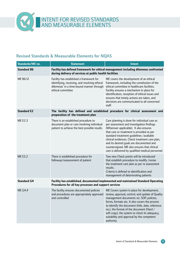

### **Revised Standards & Measurable Elements for NQAS**

| Standards/ME no.   | <b>Statement</b>                                                                                                                                           | <b>Intent</b>                                                                                                                                                                                                                                                                                                                                                                                                                    |  |
|--------------------|------------------------------------------------------------------------------------------------------------------------------------------------------------|----------------------------------------------------------------------------------------------------------------------------------------------------------------------------------------------------------------------------------------------------------------------------------------------------------------------------------------------------------------------------------------------------------------------------------|--|
| <b>Standard B6</b> | Facility has defined framework for ethical management including dilemmas confronted<br>during delivery of services at public health facilities             |                                                                                                                                                                                                                                                                                                                                                                                                                                  |  |
| ME B6.12           | Facility has established a framework for<br>identifying, receiving, and resolving ethical<br>dilemmas' in a time-bound manner through<br>ethical committee | ME covers the development of an ethical<br>framework, including the constitution of the<br>ethical committee in healthcare facilities.<br>Facility ensures a mechanism in place for<br>identification, reception of ethical issues and<br>ensures that timely actions are taken, and<br>decisions are communicated to all concerned<br>staff.                                                                                    |  |
| <b>Standard E2</b> | preparation of the treatment plan                                                                                                                          | The facility has defined and established procedure for clinical assessment and                                                                                                                                                                                                                                                                                                                                                   |  |
| <b>ME E2.3</b>     | There is an established procedure to<br>document plan or care involving individual<br>patient to achieve the best possible results                         | Care planning is done for individual case as<br>per assessment and investigation findings<br>(Wherever applicable). It also ensures<br>that care or treatment is provided as per<br>standard treatment guidelines / available<br>clinical evidences. Check treatment care plan,<br>and its desired goals are documented and<br>countersigned. ME also ensures that clinical<br>care is delivered by qualified medical personnel. |  |
| <b>ME E2.2</b>     | There is established procedure for<br>followup/reassessment of patient                                                                                     | Two new Check points will be introduced<br>that establish procedure to modify /revise<br>the treatment care plan as per re assessment<br>results.<br>Criteria is defined to identification and<br>management of deteriorating patients                                                                                                                                                                                           |  |
| <b>Standard G4</b> | Facility has established, documented implemented and maintained Standard Operating<br>Procedures for all key processes and support services                |                                                                                                                                                                                                                                                                                                                                                                                                                                  |  |
| <b>ME G4.4</b>     | The facility ensures documented policies<br>and procedures are appropriately approved<br>and controlled                                                    | ME Covers system in place for development,<br>review, approval, control, and update of Quality<br>management documents viz. SOP, policies,<br>forms, formats etc. It also covers the process<br>to identify the document (title, date, reference<br>no.), the format of the document (Hard /<br>soft copy), the system to check its adequacy,<br>suitability and approval by the competent<br>authority                          |  |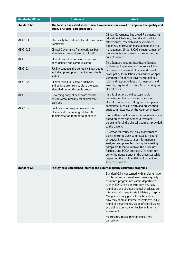| Standards/ME no.    | <b>Statement</b>                                                                                                         | Intent                                                                                                                                                                                                                                                                                                                                                                                                                                                                                                                                                                                                                 |
|---------------------|--------------------------------------------------------------------------------------------------------------------------|------------------------------------------------------------------------------------------------------------------------------------------------------------------------------------------------------------------------------------------------------------------------------------------------------------------------------------------------------------------------------------------------------------------------------------------------------------------------------------------------------------------------------------------------------------------------------------------------------------------------|
| <b>Standard G10</b> | safety of clinical care processes                                                                                        | The facility has established clinical Governance framework to improve the quality and                                                                                                                                                                                                                                                                                                                                                                                                                                                                                                                                  |
|                     |                                                                                                                          | Clinical Governance has broad 7 elements viz.                                                                                                                                                                                                                                                                                                                                                                                                                                                                                                                                                                          |
| ME G10.1            | The facility has defined clinical Governance<br>framework.                                                               | Education & training, clinical audits, clinical<br>effectiveness, research and development,<br>openness, information management and risk<br>management. Under NQAS structure, most of<br>the elements are covered in their respective<br>area of concerns.<br>This Standard requires healthcare facilities<br>to develop, implement and improve clinical<br>Governance framework. Framework should<br>cover policy formulation, constitution of Apex<br>Committee for clinical governance, defined<br>roles and responsibilities of its members and<br>ensuring regular discussions & monitoring on<br>clinical cases. |
| ME G102             | Clinical Governance framework has been<br>effectively communicated to all staff                                          |                                                                                                                                                                                                                                                                                                                                                                                                                                                                                                                                                                                                                        |
| ME G10.3            | Clinical care effectiveness criteria have<br>been defined and communicated                                               |                                                                                                                                                                                                                                                                                                                                                                                                                                                                                                                                                                                                                        |
| <b>ME G10.4</b>     | Facility conducts the periodic clinical audits<br>including prescription, medical and death<br>audits                    |                                                                                                                                                                                                                                                                                                                                                                                                                                                                                                                                                                                                                        |
| <b>ME G10.5</b>     | Clinical care audits data is analysed,<br>and actions are taken to close the gaps<br>identified during the audit process |                                                                                                                                                                                                                                                                                                                                                                                                                                                                                                                                                                                                                        |
| <b>ME G10.6</b>     | Governing body of healthcare facilities<br>ensures accountability for clinical care<br>provided                          | In this direction, the first step should<br>be reviewing the functioning of existing<br>clinical committee viz. Drug and therapeutic                                                                                                                                                                                                                                                                                                                                                                                                                                                                                   |
| ME G10.7            | Facility ensures easy access and use<br>of standard treatment guidelines &<br>implementation tools at point of care      | committee, Medical, death and prescription<br>audit committee etc by the Apex committee.<br>Committee should ensure the use of evidence-<br>based practices and Standard treatment                                                                                                                                                                                                                                                                                                                                                                                                                                     |
|                     |                                                                                                                          | guideline for all the clinical treatment provided<br>to the patient.<br>Assessor will verify the clinical governance<br>policy, ensuring apex committee is meeting<br>at regular intervals, data or information is<br>analysed and presented during the meeting<br>&steps are taken to improve the processes<br>further using PDCA approach. Assessor may<br>verify the transparency in the processes while<br>respecting the confidentiality of patient and                                                                                                                                                           |
| <b>Standard G3</b>  | Facility have established internal and external quality assurance programs                                               | service providers.                                                                                                                                                                                                                                                                                                                                                                                                                                                                                                                                                                                                     |
|                     |                                                                                                                          | Standard G3 is concerned with implementation<br>of internal and external assessments, quality<br>assurance programmes within departments<br>such as EQAS of diagnostic services, daily<br>round and use of departmental checklists etc.<br>Interview with hospital staff, Matron, Hospital<br>Mangers etc may give information about<br>how they conduct internal assessments, daily<br>round of departments, usage of checklists etc<br>at a defined periodicity. Review of Internal<br>assessment<br>records may reveal their adequacy and                                                                           |
|                     |                                                                                                                          | periodicity.                                                                                                                                                                                                                                                                                                                                                                                                                                                                                                                                                                                                           |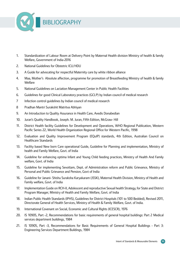

- 1. Standardization of Labour Room at Delivery Point by Maternal Health division Ministry of health & family Welfare, Government of India-2016
- 2. National Guidelines for Obstetric ICU/HDU
- 3. A Guide for advocating for respectful Maternity care by white ribbon alliance
- 4. Maa, Mother's Absolute affection, programme for promotion of Breastfeeding Ministry of health & family **Welfare**
- 5. National Guidelines on Lactation Management Center in Public Health Facilities
- 6. Guidelines for good Clinical Laboratory practices (GCLP) by Indian council of medical research
- 7 Infection control guidelines by Indian council of medical research
- 8 Pradhan Mantri Surakshit Matritva Abhiyan
- 9. An Introduction to Quality Assurance in Health Care, Avedis Donabedian
- 10. Juran's Quality Handbook, Joseph. M. Juran, Fifth Edition, McGraw- Hill
- 11. District Health facility Guidelines for Development and Operations, WHO Regional Publication, Western Pacific Series 22, World Health Organization Regional Office for Western Pacific, 1998
- 12. Evaluation and Quality Improvement Program (EQuIP) standards, 4th Edition, Australian Council on Healthcare Standards
- 13. Facility based New born Care operational Guide, Guideline for Planning and implementation, Ministry of health and Family Welfare, Govt. of India
- 14. Guideline for enhancing optima Infant and Young Child feeding practices, Ministry of Health And Family welfare, Govt. of India
- 15. Guideline for implementing Sevottam, Dept. of Administration reform and Public Grievance, Ministry of Personal and Public Grievance and Pension, Govt of India
- 16. Guideline for Janani- Shishu Suraksha Karyakaram (JSSK), Maternal Health Division, Ministry of Health and Family welfare, Govt. of India
- 17. Implementation Guide on RCH-II, Adolescent and reproductive Sexual health Strategy, for State and District Program Manager, Ministry of Health and Family Welfare, Govt. of India
- 18. Indian Public Health Standards (IPHS), Guidelines for District Hospitals (101 to 500 Bedded), Revised 2011, Directorate General of Health Services, Ministry of Health & Family Welfare, Govt. of India.
- 19. International Covenant on Social, Economic and Cultural Rights (ICESCR), 1976
- 20. IS 10905, Part -2, Recommendations for basic requirements of general hospital buildings: Part 2 Medical services department buildings, 1984
- 21. IS 10905, Part -3, Recommendations for Basic Requirements of General Hospital Buildings Part 3: Engineering Services Department Buildings, 1984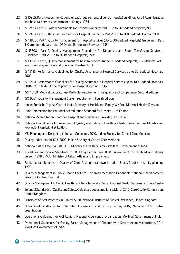- 22. IS 10905, Part-1,Recommendations for basic requirements of general hospital buildings: Part 1 Administrative and hospital services department buildings, 1984
- 23. IS 12433, Part -1, Basic requirements for hospital planning: Part 1 up to 30 bedded hospitals,1988
- 24. IS 12433, Part -2, Basic Requirements for Hospital Planning Part 2 : UP to 100 Bedded Hospital,2001
- 25. IS 13808 : Part 1, Quality management for hospital services (Up to 30-bedded hospitals) Guidelines : Part 1 Outpatient department (OPD) and Emergency Services, 1993
- 26. IS 13808 : Part 2, Quality Management Procedures for Diagnostic and Blood Transfusion Services -Guidelines - Part 2 : Up to 30-Bedded Hospitals, 1993
- 27. IS 13808 : Part 3, Quality management for hospital services (up to 30 bedded hospitals) Guidelines: Part 3 Wards, nursing services and operation theatre, 1993
- 28. IS 15195, Performance Guidelines for Quality Assurance in Hospital Services up to 30-Bedded Hospitals, 2002
- 29. IS 15461, Performance Guidelines for Quality Assurance in Hospital Services up to 100-Bedded Hospitals, 2004 22. IS 4347 , Code of practice for Hospital lighting , 1967
- 30. ISO 15189, Medical Laboratories- Particular requirements for quality and competence, Second edition.
- 31. ISO 9001, Quality Management System requirement, Fourth Edition
- 32. Janani Suraksha Yojana, Govt of India, Ministry of Health and Family Welfare, Maternal Health Division
- 33. Joint Commission International Accreditation Standard for Hospital, 4th Edition
- 34. National Accreditation Board for Hospital and Healthcare Provider, 3rd Edition
- 35. National Guideline for Improvement of Quality and Safety of Healthcare Institutions (For Line Ministry and Provincial Hospital, First Edition.
- 36. ICU Planning and Designing in India Guidelines 2010, Indian Society for Critical Care Medicine
- 37. Quality Indicators for ICU, 2009, Indian Society of Critical Care Medicine
- 38. National List of Essential List, 2011, Ministry of Health & Family Welfare , Government of India
- 39. Guidelines and Space Standards for Building Barrier Free Built Environment for disabled and elderly persons,1998 CPWD, Ministry of Urban Affairs and Employment
- 40. Fundamental elements of Quality of Care, A simple framework, Judith Bruce, Studies in family planning 1990
- 41. Quality Management in Public Health Facilities An Implementation Handbook, National Health Systems Resource Centre, New Delhi
- 42. Quality Management in Public Health Facilities- Traversing Gaps, National Health Systems resource Centre
- 43. Essential Standards of Quality and Safety, Guidance about compliance, March 2010, Care Quality Commission, United Kingdom
- 44. Principles of Best Practices in Clinical Audit, National Institute of Clinical Excellence, United Kingdom
- 45. Operational Guidelines for Integrated Counselling and testing Center, 2007, National AIDS Control organization
- 46. Operational Guidelines for ART Centers, National AIDS control organization, MoHFW, Government of India
- 47. Operational Guidelines for Facility Based Management of Children with Severe Acute Malnutrition, 2011, MoHFW, Government of India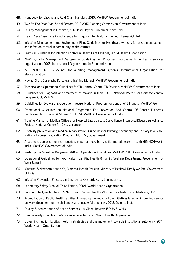- 48. Handbook for Vaccine and Cold Chain Handlers, 2010, MoHFW, Government of India
- 49. Twelfth Five Year Plan, Social Sectors, 2012-2017, Planning Commission, Government of India
- 50. Quality Management in Hospitals, S. K. Joshi, Jaypee Publishers, New Delhi
- 51. Health Care Case Laws in India, entre for Enquiry into Health and Allied Themes (CEHAT)
- 52. Infection Management and Environment Plan, Guidelines for Healthcare workers for waste management and infection control in community health centres
- 53. Practical Guidelines for Infection Control in Health Care Facilities, World Health Organization
- 54. IWA1, Quality Management Systems Guidelines for Processes improvements in health services organizations, 2005, International Organization for Standardization
- 55. ISO 19011: 2011, Guidelines for auditing management systems, International Organization for **Standardization**
- 56. Navjaat Sishu Surakasha Karyakram, Training Manual, MoHFW, Government of India
- 57. Technical and Operational Guidelines for TB Control, Central TB Division, MoHFW, Government of India
- 58. Guidelines for Diagnosis and treatment of malaria in India, 2011, National Vector Born disease control program, GoI, MohFW
- 59. Guidelines for Eye ward & Operation theatre, National Program for control of Blindness, MoHFW, GoI
- 60. Operational Guidelines on National Programme For Prevention And Control Of Cancer, Diabetes, Cardiovascular Diseases & Stroke (NPCDCS), MoHFW, Government of India
- 61. Training Manual for MedicalOfficersfor Hospital Based disease Surveillance, Integrated Disease Surveillance Project, National Centre for Disease control
- 62. Disability prevention and medical rehabilitation, Guidelines for Primary, Secondary and Tertiary level care, National Leprosy Eradication Program, MoHFW, Government
- 63. A strategic approach for reproductive, maternal, new born, child and adolescent health (RMNCH+A) in India, MoHFW, Government of India
- 64. Rashtriya Bal Swasthya Karyakram (RBSK), Operational Guidelines, MoHFW, 2013, Government of India
- 65. Operational Guidelines for Rogi Kalyan Samitis, Health & Family Welfare Department, Government of West Bengal
- 66. Maternal & Newborn Health Kit, Maternal Health Division, Ministry of Health & Family welfare, Government of India
- 67. Infection Prevention Practices in Emergency Obstetric Care, EnganderHealth
- 68. Laboratory Safety Manual, Third Edition, 2004, World Health Organization
- 69. Crossing The Quality Chasm: A New Health System for the 21st Century, Institute on Medicine, USA
- 70. Accreditation of Public Health Facilities, Evaluating the impact of the initiatives taken on improving service delivery, documenting the challenges and successful practices , 2012, Deloitte India
- 71. Quality & Accreditation of Health Services A Global Review, ISQUA & WHO
- 72. Gender Analysis in Health –A review of selected tools, World Health Organization
- 73. Governing Public Hospitals, Reform strategies and the movement towards institutional autonomy, 2011, World Health Organization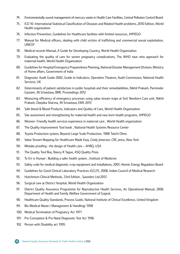- 74. Environmentally sound management of mercury waste in Health Care Facilities, Central Pollution Control Board
- 75. ICD 10 -International Statistical Classification of Diseases and Related Health problems, 2010 Edition, World Health organization
- 76. Infection Prevention, Guidelines for Healthcare facilities with limited resources, JHPIEGO
- 77. Manual for Medical officers, dealing with child victims of trafficking and commercial sexual exploitation, UNICEF
- 78. Medical records Manual, A Guide for Developing Country, World Health Organization
- 79. Evaluating the quality of care for severe pregnancy complications, The WHO near miss approach for maternal health, World Health Organization
- 80. Guidelines for Hospital Emergency Preparedness Planning, National Disaster Management Division, Ministry of Home affairs, Government of India
- 81. Diagnostic Audit Guide 2002, Guide to Indicators, Operation Theatres, Audit Commission, National Health Services, UK
- 82. Determinants of patient satisfaction in public hospitals and their remediabilities, Nikhil Prakash, Parminder Gautam, JN Srivastava, BMC Proceedings 2012
- 83. Measuring efficiency of emergency processes using value stream maps at Sick Newborn Care unit, Nikhil Prakash, Deepika Sharma, JN Srivastava, EMS 2013
- 84. Safe blood & Blood Products, Indicators and Quality of Care, World Health Organization
- 85. Site assessment and strengthening for maternal health and new born health programs, JHPIEGO
- 86. Women- Friendly health services experience in maternal care , World Health organization
- 87. The Quality Improvement Tool book, National Health Systems Resource Center
- 88. Toyota Production system, Beyond Large Scale Production, 1988 Taiichi Ohno
- 89. Value Stream Mapping for Healthcare Made Easy, Cindy jimerson, CRC press, New York
- 90. Mistake proofing : the design of Health care AHRQ, USA
- 91. The Quality Tool Box, Nancy R Tague, ASQ Quality Press
- 92. To Err is Human: Building a safer health system, Institute of Medicine
- 93. Safety code for medical diagnostic x-ray equipment and installations, 2001, Atomic Energy Regulation Board
- 94. Guidelines for Good Clinical Laboratory Practices (GCLP), 2008, Indian Council of Medical Research
- 95. Hutchinson Clinical Methods, 23rd Edition , Saunders Ltd.2012
- 96. Surgical care at District Hospital, World Health Organization
- 97. District Quality Assurance Programme for Reproductive Health Services, An Operational Manual, 2006 Department of Health and Family Welfare Government of Gujarat
- 98. Healthcare Quality Standards, Process Guide, National Institute of Clinical Excellence, United Kingdom
- 99. Bio Medical Waste ( Management & Handling) 1998
- 100. Medical Termination of Pregnancy Act 1971
- 101. Pre Conception & Pre Natal Diagnostic Test Act 1996
- 102. Person with Disability act 1995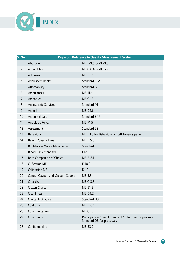

| <b>S. No.</b>  | Key word Reference in Quality Measurement System |                                                                                      |  |
|----------------|--------------------------------------------------|--------------------------------------------------------------------------------------|--|
| $\mathbf{1}$   | Abortion                                         | ME E21.5 & ME21.6                                                                    |  |
| $\overline{2}$ | <b>Action Plan</b>                               | ME G 6.4 & ME G6.5                                                                   |  |
| $\overline{3}$ | Admission                                        | <b>ME E1.2</b>                                                                       |  |
| 4              | Adolescent health                                | Standard E22                                                                         |  |
| 5              | Affordability                                    | <b>Standard B5</b>                                                                   |  |
| 6              | Ambulances                                       | ME 11.4                                                                              |  |
| $\overline{7}$ | Amenities                                        | <b>ME C1.2</b>                                                                       |  |
| 8              | <b>Anaesthetic Services</b>                      | Standard 14                                                                          |  |
| 9              | Animals                                          | <b>MED4.6</b>                                                                        |  |
| 10             | <b>Antenatal Care</b>                            | Standard E 17                                                                        |  |
| 11             | <b>Antibiotic Policy</b>                         | <b>MEF1.5</b>                                                                        |  |
| 12             | Assessment                                       | Standard E2                                                                          |  |
| 13             | Behaviour                                        | ME B3.3 for Behaviour of staff towards patients                                      |  |
| 14             | <b>Below Poverty Lime</b>                        | ME B 5.3                                                                             |  |
| 15             | <b>Bio Medical Waste Management</b>              | Standard F6                                                                          |  |
| 16             | <b>Blood Bank Standard</b>                       | E12                                                                                  |  |
| 17             | <b>Both Companion of Choice</b>                  | ME E18.11                                                                            |  |
| 18             | C- Section ME                                    | E 18.2                                                                               |  |
| 19             | <b>Calibration ME</b>                            | D1.2                                                                                 |  |
| 20             | Central Oxygen and Vacuum Supply                 | ME 5.3                                                                               |  |
| 21             | Checklist                                        | ME G 3.3                                                                             |  |
| 22             | Citizen Charter                                  | <b>ME B1.3</b>                                                                       |  |
| 23             | Cleanliness                                      | <b>ME D4.2</b>                                                                       |  |
| 24             | <b>Clinical Indicators</b>                       | Standard H3                                                                          |  |
| 25             | Cold Chain                                       | <b>MED2.7</b>                                                                        |  |
| 26             | Communication                                    | <b>ME C1.5</b>                                                                       |  |
| 27             | Community                                        | Participation Area of Standard A6 for Service provision<br>Standard D8 for processes |  |
| 28             | Confidentiality                                  | <b>ME B3.2</b>                                                                       |  |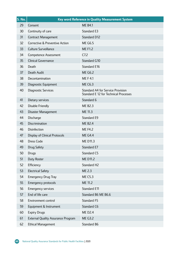| <b>S. No.</b> | Key word Reference in Quality Measurement System |                                                                                   |  |
|---------------|--------------------------------------------------|-----------------------------------------------------------------------------------|--|
| 29            | Consent                                          | <b>ME B4.1</b>                                                                    |  |
| 30            | Continuity of care                               | Standard E3                                                                       |  |
| 31            | <b>Contract Management</b>                       | <b>Standard D12</b>                                                               |  |
| 32            | Corrective & Preventive Action                   | <b>ME G6.5</b>                                                                    |  |
| 33            | <b>Culture Surveillance</b>                      | <b>MEF1.2</b>                                                                     |  |
| 34            | <b>Competence Assessment</b>                     | C7.2                                                                              |  |
| 35            | <b>Clinical Governance</b>                       | Standard G10                                                                      |  |
| 36            | Death                                            | Standard E16                                                                      |  |
| 37            | Death Audit                                      | <b>ME G6.2</b>                                                                    |  |
| 38            | Decontamination                                  | <b>MEF4.1</b>                                                                     |  |
| 39            | Diagnostic Equipment                             | <b>ME C6.3</b>                                                                    |  |
| 40            | Diagnostic Services                              | <b>Standard A4 for Service Provision</b><br>Standard E 12 for Technical Processes |  |
| 41            | Dietary services                                 | Standard 6                                                                        |  |
| 42            | <b>Disable Friendly</b>                          | <b>ME B2.3</b>                                                                    |  |
| 43            | Disaster Management                              | ME 11.3                                                                           |  |
| 44            | Discharge                                        | Standard E9                                                                       |  |
| 45            | Discrimination                                   | <b>ME B2.4</b>                                                                    |  |
| 46            | Disinfection                                     | <b>ME F4.2</b>                                                                    |  |
| 47            | <b>Display of Clinical Protocols</b>             | <b>ME G4.4</b>                                                                    |  |
| 48            | <b>Dress Code</b>                                | ME D11.3                                                                          |  |
| 49            | Drug Safety                                      | Standard E7                                                                       |  |
| 50            | <b>Drugs</b>                                     | Standard C5                                                                       |  |
| 51            | Duty Roster                                      | ME D11.2                                                                          |  |
| 52            | Efficiency                                       | Standard H <sub>2</sub>                                                           |  |
| 53            | <b>Electrical Safety</b>                         | ME 2.3                                                                            |  |
| 54            | <b>Emergency Drug Tray</b>                       | <b>ME C5.3</b>                                                                    |  |
| 55            | Emergency protocols                              | ME 11.2                                                                           |  |
| 56            | <b>Emergency services</b>                        | Standard E11                                                                      |  |
| 57            | End of life care                                 | Standard B6 ME B6.6                                                               |  |
| 58            | Environment control                              | Standard F5                                                                       |  |
| 59            | Equipment & Instrument                           | Standard C6                                                                       |  |
| 60            | <b>Expiry Drugs</b>                              | <b>ME D2.4</b>                                                                    |  |
| 61            | <b>External Quality Assurance Program</b>        | <b>ME G3.2</b>                                                                    |  |
| 62            | <b>Ethical Management</b>                        | Standard B6                                                                       |  |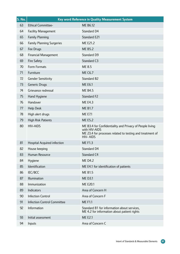| <b>S. No.</b> | Key word Reference in Quality Measurement System |                                                                                                                                                           |
|---------------|--------------------------------------------------|-----------------------------------------------------------------------------------------------------------------------------------------------------------|
| 63            | <b>Ethical Committee-</b>                        | ME B6.12                                                                                                                                                  |
| 64            | <b>Facility Management</b>                       | Standard D4                                                                                                                                               |
| 65            | <b>Family Planning</b>                           | <b>Standard E21</b>                                                                                                                                       |
| 66            | <b>Family Planning Surgeries</b>                 | ME E21.2                                                                                                                                                  |
| 67            | Fee Drugs                                        | <b>ME B5.2</b>                                                                                                                                            |
| 68            | <b>Financial Management</b>                      | Standard D9                                                                                                                                               |
| 69            | <b>Fire Safety</b>                               | Standard C3                                                                                                                                               |
| 70            | Form Formats                                     | ME 8.5                                                                                                                                                    |
| 71            | Furniture                                        | <b>ME C6.7</b>                                                                                                                                            |
| 72            | <b>Gender Sensitivity</b>                        | Standard B2                                                                                                                                               |
| 73            | Generic Drugs                                    | <b>ME E6.1</b>                                                                                                                                            |
| 74            | Grievance redressal                              | <b>ME B4.5</b>                                                                                                                                            |
| 75            | Hand Hygiene                                     | Standard F2                                                                                                                                               |
| 76            | Handover                                         | <b>ME E4.3</b>                                                                                                                                            |
| 77            | <b>Help Desk</b>                                 | <b>ME B1.7</b>                                                                                                                                            |
| 78            | High alert drugs                                 | <b>ME E7.1</b>                                                                                                                                            |
| 79            | <b>High Risk Patients</b>                        | <b>ME E5.2</b>                                                                                                                                            |
| 80            | <b>HIV-AIDS</b>                                  | ME B3.4 for Confidentiality and Privacy of People living<br>with HIV-AIDS<br>ME 23.4 for processes related to testing and treatment of<br><b>HIV-AIDS</b> |
| 81            | <b>Hospital Acquired infection</b>               | <b>ME F1.3</b>                                                                                                                                            |
| 82            | House keeping                                    | Standard D4                                                                                                                                               |
| 83            | Human Resource                                   | Standard C4                                                                                                                                               |
| 84            | Hygiene                                          | <b>ME D4.2</b>                                                                                                                                            |
| 85            | Identification                                   | ME E4.1 for identification of patients                                                                                                                    |
| 86            | IEC/BCC                                          | <b>ME B1.5</b>                                                                                                                                            |
| 87            | <b>Illumination</b>                              | <b>ME D3.1</b>                                                                                                                                            |
| 88            | Immunization                                     | ME E20.1                                                                                                                                                  |
| 89            | Indicators                                       | Area of Concern H                                                                                                                                         |
| 90            | <b>Infection Control</b>                         | Area of Concern F                                                                                                                                         |
| 91            | <b>Infection Control Committee</b>               | <b>MEF1.1</b>                                                                                                                                             |
| 92            | Information                                      | Standard B1 for information about services,<br>ME 4.2 for information about patient rights                                                                |
| 93            | Initial assessment                               | <b>ME E2.1</b>                                                                                                                                            |
| 94            | Inputs                                           | Area of Concern C                                                                                                                                         |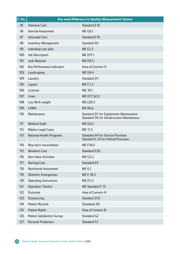| <b>S. No.</b>   | Key word Reference in Quality Measurement System |                                                                                      |
|-----------------|--------------------------------------------------|--------------------------------------------------------------------------------------|
| 95              | <b>Intensive Care</b>                            | Standard E10                                                                         |
| 96              | Internal Assessment                              | <b>ME G6.1</b>                                                                       |
| 97              | <b>Intranatal Care</b>                           | <b>Standard E18</b>                                                                  |
| 98              | <b>Inventory Management</b>                      | Standard D2                                                                          |
| 99              | Individual care plan                             | <b>ME E2.3</b>                                                                       |
| 100             | Job Description                                  | ME D11.1                                                                             |
| 101             | Junk Material                                    | <b>MED4.5</b>                                                                        |
| 102             | Key Performance Indicators                       | Area of Concern H                                                                    |
| 10 <sub>3</sub> | Landscaping                                      | <b>MED4.4</b>                                                                        |
| 104             | Laundry                                          | Standard D7                                                                          |
| 105             | Layout                                           | <b>ME C1.3</b>                                                                       |
| 106             | Licences                                         | ME 10.1                                                                              |
| 107             | Linen                                            | ME D7.1 & 7.2                                                                        |
| 108             | Low Birth weight                                 | ME E20.3                                                                             |
| 109             | <b>LAMA</b>                                      | <b>ME B6.6</b>                                                                       |
| 110             | Maintenance                                      | Standard D1 for Equipments Maintenance<br>Standard D4 for Infrastructure Maintenance |
| 111             | <b>Medical Audit</b>                             | <b>ME G6.2</b>                                                                       |
| 112             | Medico Legal Cases                               | ME 11.5                                                                              |
| 113             | National Health Programs                         | <b>Standard A4 for Service Provision</b><br>Standard E 23 for Clinical Processes     |
| 114             | New born resuscitation                           | <b>ME E18.4</b>                                                                      |
| 115             | Newborn Care                                     | Standard E20                                                                         |
| 116             | Non Value Activities                             | ME G5.2                                                                              |
| 117             | <b>Nursing Care</b>                              | Standard E4                                                                          |
| 118             | <b>Nutritional Assessment</b>                    | ME 6.1                                                                               |
| 119             | <b>Obstetric Emergencies</b>                     | ME E 18.3                                                                            |
| 120             | <b>Operating Instructions</b>                    | <b>MED1.3</b>                                                                        |
| 121             | <b>Operation Theatre</b>                         | ME Standard E 15                                                                     |
| 122             | Outcome                                          | Area of Concern H                                                                    |
| 123             | Outsourcing                                      | Standard D12                                                                         |
| 124             | <b>Patient Records</b>                           | Standards E8                                                                         |
| 125             | Patient Rights                                   | Area of Concern B                                                                    |
| 126             | <b>Patient Satisfaction Survey</b>               | Standard G2                                                                          |
| 127             | <b>Personal Protection</b>                       | Standard F3                                                                          |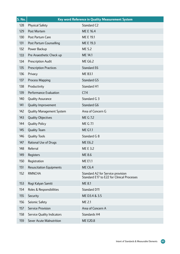| <b>S. No.</b> | Key word Reference in Quality Measurement System |                                                                                 |  |
|---------------|--------------------------------------------------|---------------------------------------------------------------------------------|--|
| 128           | <b>Physical Safety</b>                           | Standard C2                                                                     |  |
| 129           | Post Mortem                                      | ME E 16.4                                                                       |  |
| 130           | Post Partum Care                                 | ME E 19.1                                                                       |  |
| 131           | Post Partum Counselling                          | ME E 19.3                                                                       |  |
| 132           | Power Backup                                     | ME 5.2                                                                          |  |
| 133           | Pre Anaesthetic Check up                         | ME 14.1                                                                         |  |
| 134           | Prescription Audit                               | <b>ME G6.2</b>                                                                  |  |
| 135           | <b>Prescription Practices</b>                    | <b>Standard E6</b>                                                              |  |
| 136           | Privacy                                          | <b>ME B3.1</b>                                                                  |  |
| 137           | Process Mapping                                  | Standard G5                                                                     |  |
| 138           | Productivity                                     | <b>Standard H1</b>                                                              |  |
| 139           | Performance Evaluation                           | C <sub>7.4</sub>                                                                |  |
| 140           | <b>Quality Assurance</b>                         | Standard G 3                                                                    |  |
| 141           | Quality Improvement                              | Standard G6                                                                     |  |
| 142           | <b>Quality Management System</b>                 | Area of Concern G                                                               |  |
| 143           | <b>Quality Objectives</b>                        | ME G 7.2                                                                        |  |
| 144           | <b>Quality Policy</b>                            | ME G 7.1                                                                        |  |
| 145           | <b>Quality Team</b>                              | <b>ME G1.1</b>                                                                  |  |
| 146           | <b>Quality Tools</b>                             | Standard G 8                                                                    |  |
| 147           | Rational Use of Drugs                            | <b>ME E6.2</b>                                                                  |  |
| 148           | Referral                                         | ME E 3.2                                                                        |  |
| 149           | Registers                                        | ME 8.6                                                                          |  |
| 150           | Registration                                     | <b>ME E1.1</b>                                                                  |  |
| 151           | <b>Resuscitation Equipments</b>                  | <b>ME C6.4</b>                                                                  |  |
| 152           | <b>RMNCHA</b>                                    | Standard A2 for Service provision<br>Standard E17 to E22 for Clinical Processes |  |
| 153           | Rogi Kalyan Samiti                               | ME 8.1                                                                          |  |
| 154           | Roles & Responsibilities                         | Standard D11                                                                    |  |
| 155           | Security                                         | ME D3.4 & 3.5                                                                   |  |
| 156           | Seismic Safety                                   | ME 2.1                                                                          |  |
| 157           | Service Provision                                | Area of Concern A                                                               |  |
| 158           | <b>Service Quality Indicators</b>                | Standards H4                                                                    |  |
| 159           | Sever Acute Malnutrition                         | ME E20.8                                                                        |  |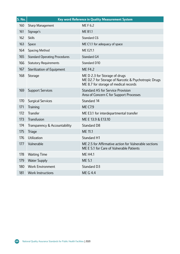| <b>S. No.</b> | Key word Reference in Quality Measurement System |                                                                                                                                |  |
|---------------|--------------------------------------------------|--------------------------------------------------------------------------------------------------------------------------------|--|
| 160           | Sharp Management                                 | ME F 6.2                                                                                                                       |  |
| 161           | Signage's                                        | <b>ME B1.1</b>                                                                                                                 |  |
| 162           | <b>Skills</b>                                    | Standard C6                                                                                                                    |  |
| 163           | Space                                            | ME C1.1 for adequacy of space                                                                                                  |  |
| 164           | Spacing Method                                   | <b>ME E21.1</b>                                                                                                                |  |
| 165           | <b>Standard Operating Procedures</b>             | Standard G4                                                                                                                    |  |
| 166           | <b>Statutory Requirements</b>                    | Standard D10                                                                                                                   |  |
| 167           | Sterilization of Equipment                       | <b>ME F4.2</b>                                                                                                                 |  |
| 168           | Storage                                          | ME D 2.3 for Storage of drugs<br>ME D2.7 for Storage of Narcotic & Psychotropic Drugs<br>ME 8.7 for storage of medical records |  |
| 169           | <b>Support Services</b>                          | <b>Standard A5 for Service Provision</b><br>Area of Concern C for Support Processes                                            |  |
| 170           | <b>Surgical Services</b>                         | Standard 14                                                                                                                    |  |
| 171           | Training                                         | <b>ME C7.9</b>                                                                                                                 |  |
| 172           | <b>Transfer</b>                                  | ME E3.1 for interdepartmental transfer                                                                                         |  |
| 173           | Transfusion                                      | ME E 13.9 & E13.10                                                                                                             |  |
| 174           | Transparency & Accountability                    | Standard D8                                                                                                                    |  |
| 175           | <b>Triage</b>                                    | ME 11.1                                                                                                                        |  |
| 176           | Utilization                                      | Standard H1                                                                                                                    |  |
| 177           | Vulnerable                                       | ME 2.5 for Affirmative action for Vulnerable sections<br>ME E 5.1 for Care of Vulnerable Patients                              |  |
| 178           | <b>Waiting Time</b>                              | <b>ME H4.1</b>                                                                                                                 |  |
| 179           | <b>Water Supply</b>                              | ME 5.1                                                                                                                         |  |
| 180           | <b>Work Environment</b>                          | Standard D3                                                                                                                    |  |
| 181           | <b>Work Instructions</b>                         | <b>ME G 4.4</b>                                                                                                                |  |